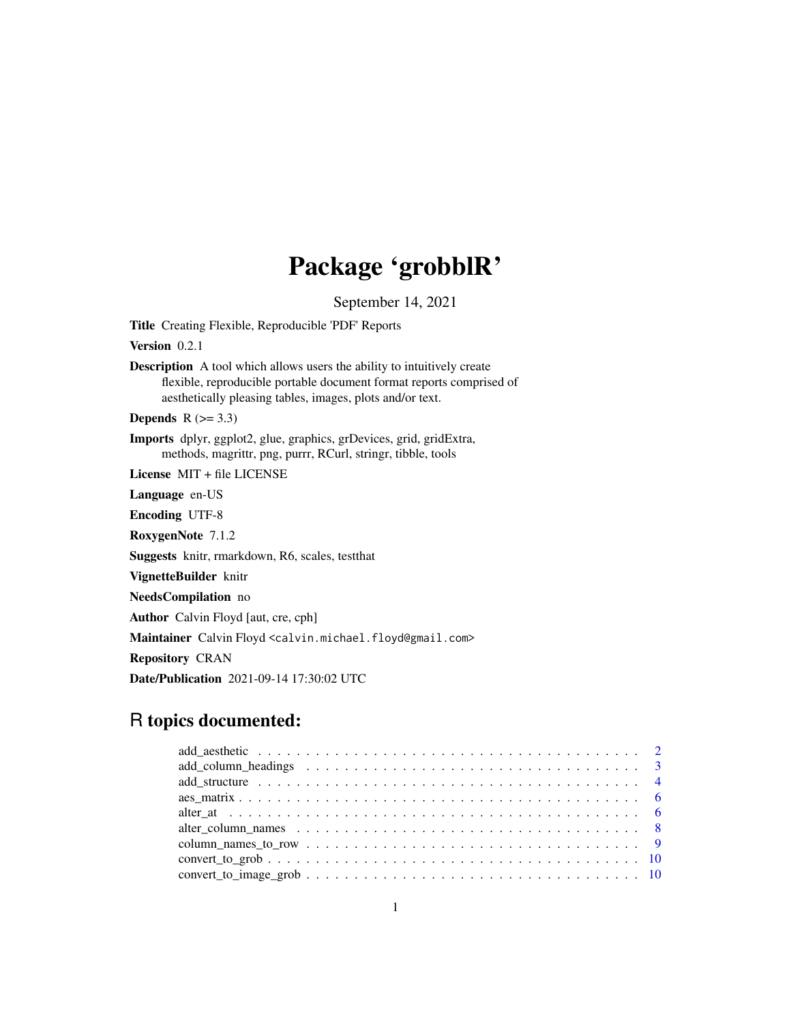# Package 'grobblR'

September 14, 2021

<span id="page-0-0"></span>Title Creating Flexible, Reproducible 'PDF' Reports

Version 0.2.1

Description A tool which allows users the ability to intuitively create flexible, reproducible portable document format reports comprised of aesthetically pleasing tables, images, plots and/or text.

Depends  $R$  ( $>= 3.3$ )

Imports dplyr, ggplot2, glue, graphics, grDevices, grid, gridExtra, methods, magrittr, png, purrr, RCurl, stringr, tibble, tools

License MIT + file LICENSE

Language en-US

Encoding UTF-8

RoxygenNote 7.1.2

Suggests knitr, rmarkdown, R6, scales, testthat

VignetteBuilder knitr

NeedsCompilation no

Author Calvin Floyd [aut, cre, cph]

Maintainer Calvin Floyd <calvin.michael.floyd@gmail.com>

Repository CRAN

Date/Publication 2021-09-14 17:30:02 UTC

## R topics documented:

| alter column names $\ldots \ldots \ldots \ldots \ldots \ldots \ldots \ldots \ldots \ldots \ldots \ldots$   |
|------------------------------------------------------------------------------------------------------------|
|                                                                                                            |
|                                                                                                            |
| $convert\_to\_image\_grob \ldots \ldots \ldots \ldots \ldots \ldots \ldots \ldots \ldots \ldots \ldots 10$ |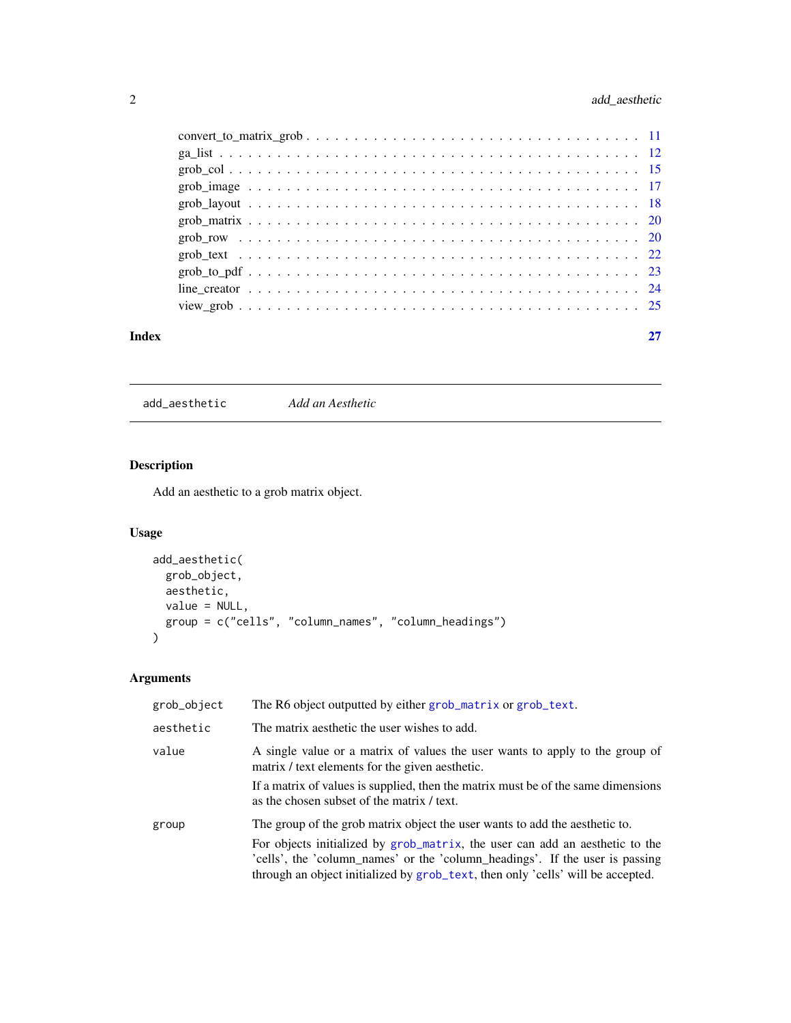### <span id="page-1-0"></span>2 add\_aesthetic and  $\alpha$

| Index |  |
|-------|--|
|       |  |
|       |  |
|       |  |
|       |  |
|       |  |
|       |  |
|       |  |
|       |  |
|       |  |
|       |  |
|       |  |

<span id="page-1-1"></span>add\_aesthetic *Add an Aesthetic*

## Description

Add an aesthetic to a grob matrix object.

### Usage

```
add_aesthetic(
 grob_object,
 aesthetic,
 value = NULL,
 group = c("cells", "column_names", "column_headings")
)
```
### Arguments

| grob_object | The R6 object outputted by either grob_matrix or grob_text.                                                                                                                                                                                                                                                                    |
|-------------|--------------------------------------------------------------------------------------------------------------------------------------------------------------------------------------------------------------------------------------------------------------------------------------------------------------------------------|
| aesthetic   | The matrix aesthetic the user wishes to add.                                                                                                                                                                                                                                                                                   |
| value       | A single value or a matrix of values the user wants to apply to the group of<br>matrix / text elements for the given aesthetic.<br>If a matrix of values is supplied, then the matrix must be of the same dimensions<br>as the chosen subset of the matrix / text.                                                             |
| group       | The group of the grob matrix object the user wants to add the aesthetic to.<br>For objects initialized by grob_matrix, the user can add an aesthetic to the<br>'cells', the 'column_names' or the 'column_headings'. If the user is passing<br>through an object initialized by grob_text, then only 'cells' will be accepted. |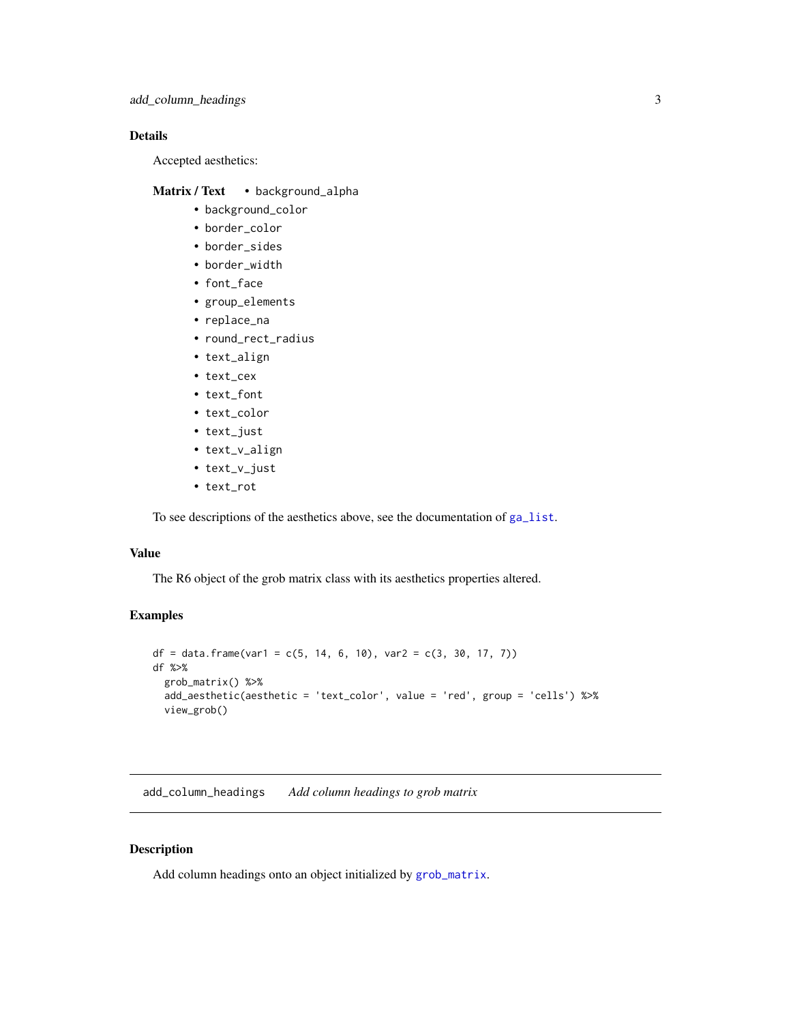### <span id="page-2-0"></span>Details

Accepted aesthetics:

### Matrix / Text • background\_alpha

- background\_color
- border\_color
- border\_sides
- border\_width
- font\_face
- group\_elements
- replace\_na
- round\_rect\_radius
- text\_align
- text\_cex
- text\_font
- text\_color
- text\_just
- text\_v\_align
- text\_v\_just
- text\_rot

To see descriptions of the aesthetics above, see the documentation of [ga\\_list](#page-11-1).

### Value

The R6 object of the grob matrix class with its aesthetics properties altered.

#### Examples

```
df = data.frame(var1 = c(5, 14, 6, 10), var2 = c(3, 30, 17, 7))
df %>%
  grob_matrix() %>%
  add_aesthetic(aesthetic = 'text_color', value = 'red', group = 'cells') %>%
  view_grob()
```
add\_column\_headings *Add column headings to grob matrix*

#### Description

Add column headings onto an object initialized by [grob\\_matrix](#page-19-1).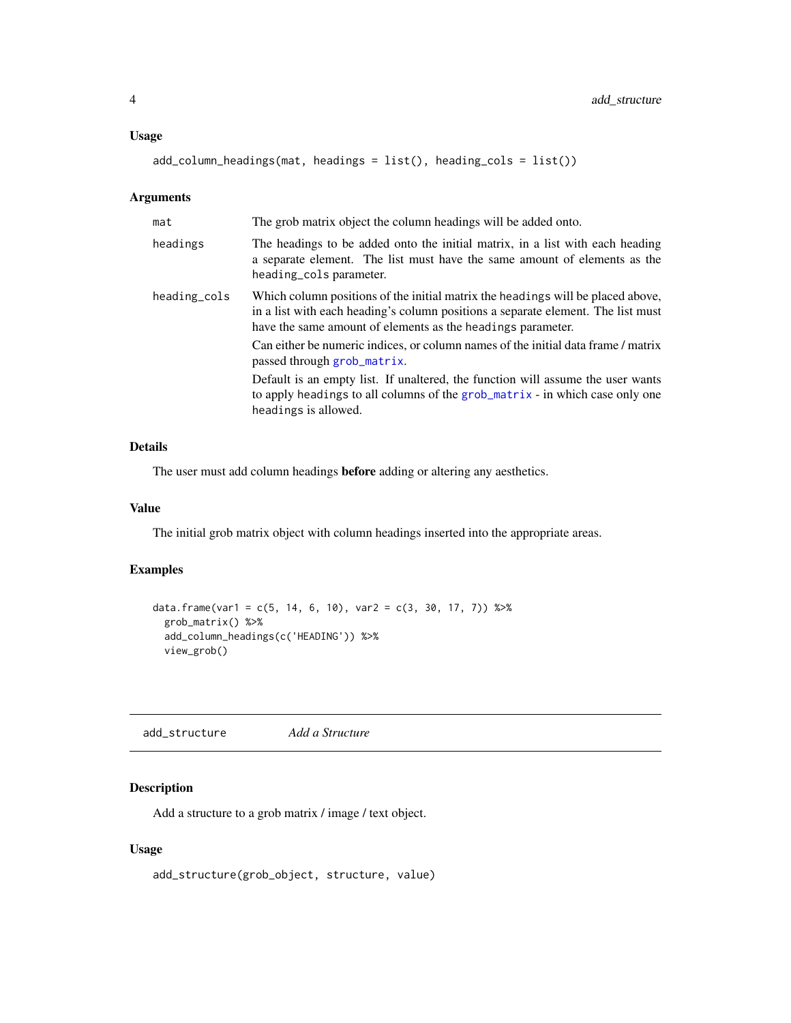#### <span id="page-3-0"></span>Usage

add\_column\_headings(mat, headings = list(), heading\_cols = list())

#### Arguments

| mat          | The grob matrix object the column headings will be added onto.                                                                                                                                                                     |
|--------------|------------------------------------------------------------------------------------------------------------------------------------------------------------------------------------------------------------------------------------|
| headings     | The headings to be added onto the initial matrix, in a list with each heading<br>a separate element. The list must have the same amount of elements as the<br>heading_cols parameter.                                              |
| heading_cols | Which column positions of the initial matrix the headings will be placed above,<br>in a list with each heading's column positions a separate element. The list must<br>have the same amount of elements as the headings parameter. |
|              | Can either be numeric indices, or column names of the initial data frame / matrix<br>passed through grob_matrix.                                                                                                                   |
|              | Default is an empty list. If unaltered, the function will assume the user wants<br>to apply headings to all columns of the grob_matrix - in which case only one<br>headings is allowed.                                            |

### Details

The user must add column headings before adding or altering any aesthetics.

#### Value

The initial grob matrix object with column headings inserted into the appropriate areas.

### Examples

```
data.frame(var1 = c(5, 14, 6, 10), var2 = c(3, 30, 17, 7)) %>%
  grob_matrix() %>%
  add_column_headings(c('HEADING')) %>%
  view_grob()
```
<span id="page-3-1"></span>add\_structure *Add a Structure*

### Description

Add a structure to a grob matrix / image / text object.

#### Usage

```
add_structure(grob_object, structure, value)
```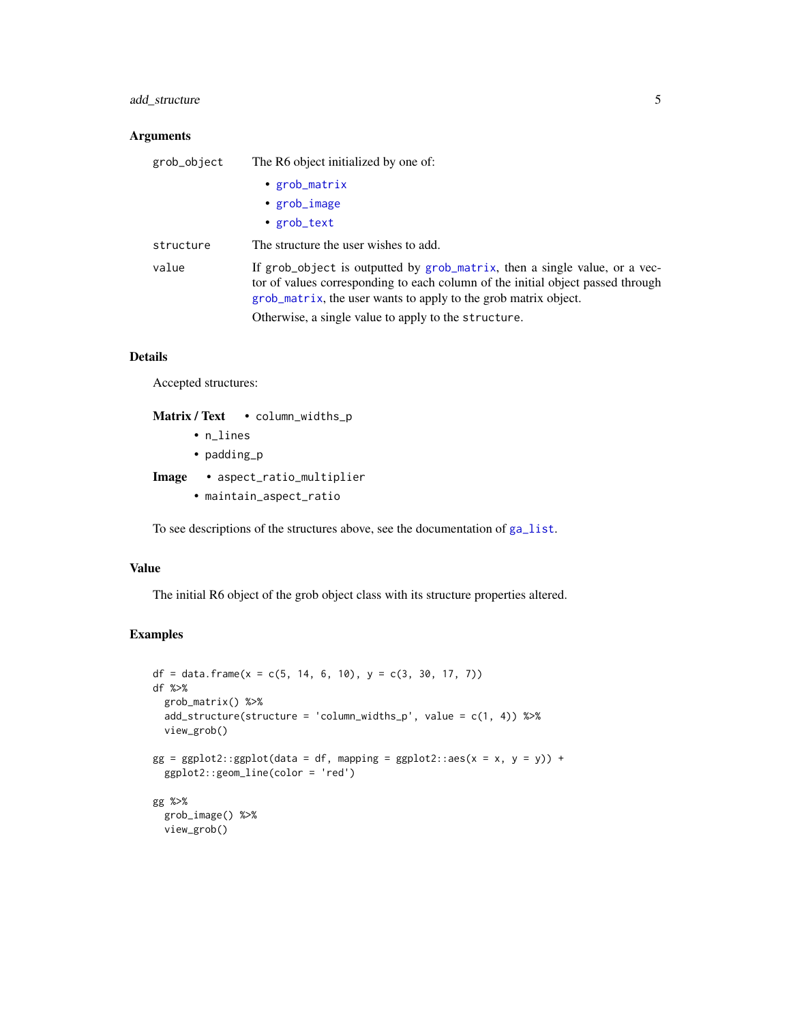### <span id="page-4-0"></span>add\_structure 5

### Arguments

| grob_object | The R6 object initialized by one of:                                                                                                                                                                                             |  |  |
|-------------|----------------------------------------------------------------------------------------------------------------------------------------------------------------------------------------------------------------------------------|--|--|
|             | • $grob_matrix$                                                                                                                                                                                                                  |  |  |
|             | • grob_image                                                                                                                                                                                                                     |  |  |
|             | • $grob\_text$                                                                                                                                                                                                                   |  |  |
| structure   | The structure the user wishes to add.                                                                                                                                                                                            |  |  |
| value       | If grob_object is outputted by grob_matrix, then a single value, or a vec-<br>tor of values corresponding to each column of the initial object passed through<br>grob_matrix, the user wants to apply to the grob matrix object. |  |  |
|             | Otherwise, a single value to apply to the structure.                                                                                                                                                                             |  |  |

### Details

Accepted structures:

| <b>Matrix</b> / Text | • $column_widths_p$ |
|----------------------|---------------------|
| $\cdot$ n lines      |                     |

- padding\_p
- Image aspect\_ratio\_multiplier
	- maintain\_aspect\_ratio

To see descriptions of the structures above, see the documentation of [ga\\_list](#page-11-1).

### Value

The initial R6 object of the grob object class with its structure properties altered.

#### Examples

```
df = data.frame(x = c(5, 14, 6, 10), y = c(3, 30, 17, 7))
df %>%
  grob_matrix() %>%
  add_structure(structure = 'column_widths_p', value = c(1, 4)) %>%
 view_grob()
gg = ggplot2::ggplot(data = df, mapping = ggplot2::aes(x = x, y = y)) +ggplot2::geom_line(color = 'red')
gg %>%
  grob_image() %>%
  view_grob()
```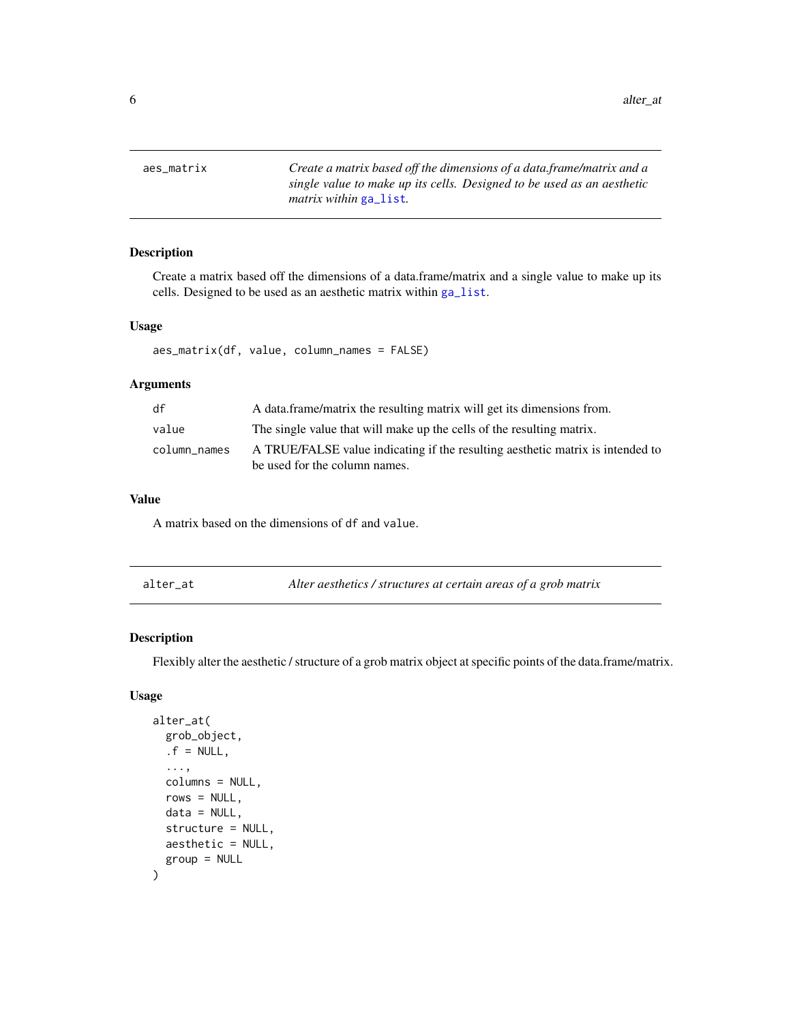<span id="page-5-0"></span>aes\_matrix *Create a matrix based off the dimensions of a data.frame/matrix and a single value to make up its cells. Designed to be used as an aesthetic matrix within* [ga\\_list](#page-11-1)*.*

#### Description

Create a matrix based off the dimensions of a data.frame/matrix and a single value to make up its cells. Designed to be used as an aesthetic matrix within [ga\\_list](#page-11-1).

### Usage

aes\_matrix(df, value, column\_names = FALSE)

#### Arguments

| df           | A data frame/matrix the resulting matrix will get its dimensions from.                                          |
|--------------|-----------------------------------------------------------------------------------------------------------------|
| value        | The single value that will make up the cells of the resulting matrix.                                           |
| column_names | A TRUE/FALSE value indicating if the resulting aesthetic matrix is intended to<br>be used for the column names. |

### Value

A matrix based on the dimensions of df and value.

<span id="page-5-1"></span>

| alter at | Alter aesthetics / structures at certain areas of a grob matrix |
|----------|-----------------------------------------------------------------|
|----------|-----------------------------------------------------------------|

### Description

Flexibly alter the aesthetic / structure of a grob matrix object at specific points of the data.frame/matrix.

#### Usage

```
alter_at(
  grob_object,
  .f = NULL,...,
  columns = NULL,
  rows = NULL,data = NULL,
  structure = NULL,
  aesthetic = NULL,
  group = NULL
)
```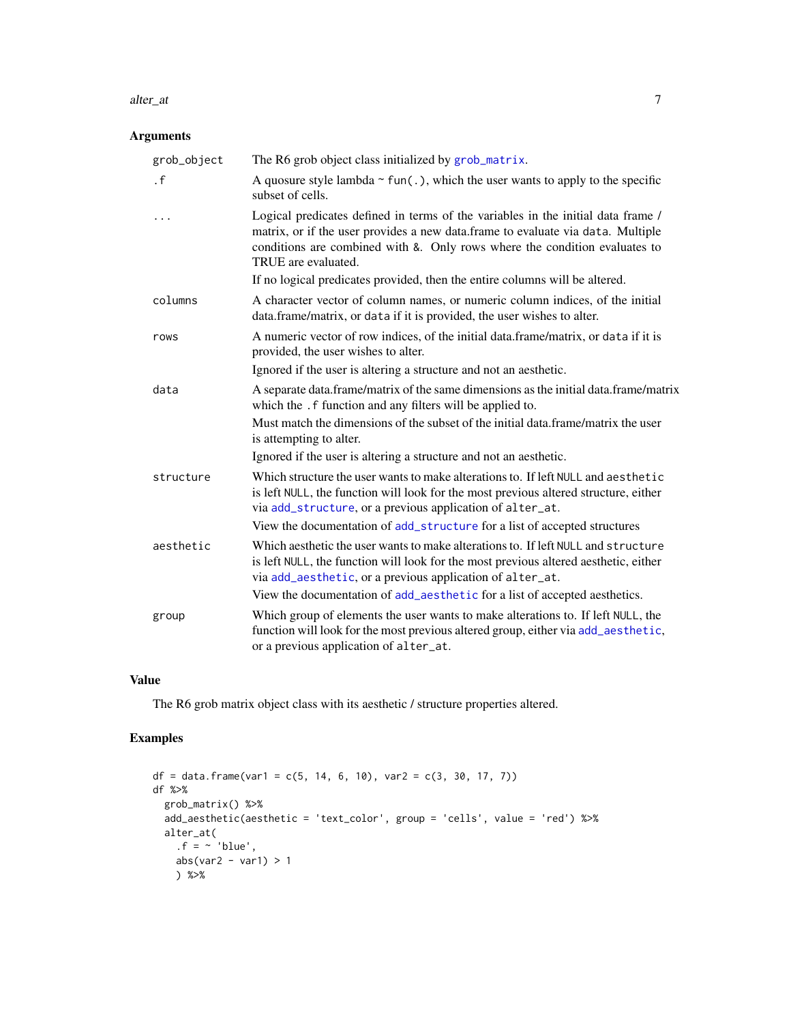#### <span id="page-6-0"></span>alter\_at 7

### Arguments

| grob_object | The R6 grob object class initialized by grob_matrix.                                                                                                                                                                                                                     |
|-------------|--------------------------------------------------------------------------------------------------------------------------------------------------------------------------------------------------------------------------------------------------------------------------|
| $\cdot$ f   | A quosure style lambda $\sim$ fun(.), which the user wants to apply to the specific<br>subset of cells.                                                                                                                                                                  |
| .           | Logical predicates defined in terms of the variables in the initial data frame /<br>matrix, or if the user provides a new data.frame to evaluate via data. Multiple<br>conditions are combined with &. Only rows where the condition evaluates to<br>TRUE are evaluated. |
|             | If no logical predicates provided, then the entire columns will be altered.                                                                                                                                                                                              |
| columns     | A character vector of column names, or numeric column indices, of the initial<br>data.frame/matrix, or data if it is provided, the user wishes to alter.                                                                                                                 |
| rows        | A numeric vector of row indices, of the initial data.frame/matrix, or data if it is<br>provided, the user wishes to alter.                                                                                                                                               |
|             | Ignored if the user is altering a structure and not an aesthetic.                                                                                                                                                                                                        |
| data        | A separate data.frame/matrix of the same dimensions as the initial data.frame/matrix<br>which the . f function and any filters will be applied to.                                                                                                                       |
|             | Must match the dimensions of the subset of the initial data.frame/matrix the user<br>is attempting to alter.                                                                                                                                                             |
|             | Ignored if the user is altering a structure and not an aesthetic.                                                                                                                                                                                                        |
| structure   | Which structure the user wants to make alterations to. If left NULL and aesthetic<br>is left NULL, the function will look for the most previous altered structure, either<br>via add_structure, or a previous application of alter_at.                                   |
|             | View the documentation of add_structure for a list of accepted structures                                                                                                                                                                                                |
| aesthetic   | Which aesthetic the user wants to make alterations to. If left NULL and structure<br>is left NULL, the function will look for the most previous altered aesthetic, either<br>via add_aesthetic, or a previous application of alter_at.                                   |
|             | View the documentation of add_aesthetic for a list of accepted aesthetics.                                                                                                                                                                                               |
| group       | Which group of elements the user wants to make alterations to. If left NULL, the<br>function will look for the most previous altered group, either via add_aesthetic,<br>or a previous application of alter_at.                                                          |

#### Value

The R6 grob matrix object class with its aesthetic / structure properties altered.

### Examples

```
df = data. frame(var1 = c(5, 14, 6, 10), var2 = c(3, 30, 17, 7))
df %>%
  grob_matrix() %>%
  add_aesthetic(aesthetic = 'text_color', group = 'cells', value = 'red') %>%
  alter_at(
    .f = ~ 'blue',abs(var2 - var1) > 1
    ) %>%
```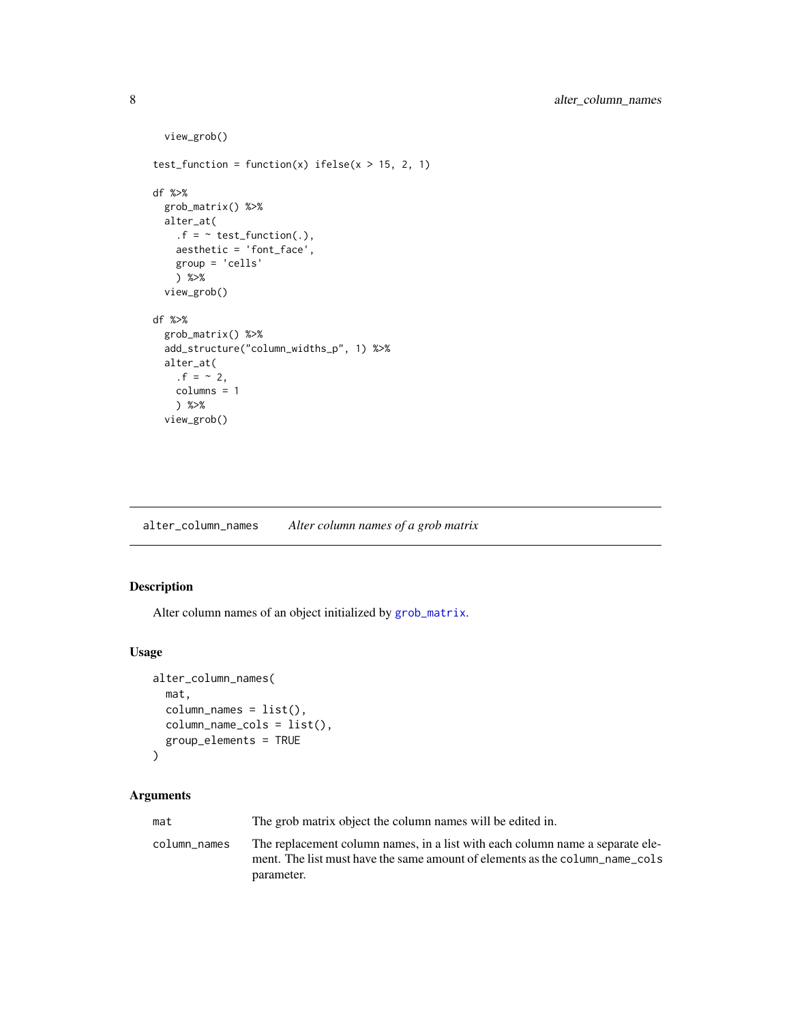```
view_grob()
test_function = function(x) ifelse(x > 15, 2, 1)
df %>%
 grob_matrix() %>%
 alter_at(
   .f = ~ \sim test_function(.),
   aesthetic = 'font_face',
   group = 'cells'
   ) %>%
 view_grob()
df %>%
 grob_matrix() %>%
 add_structure("column_widths_p", 1) %>%
 alter_at(
    . f = -2,
   columns = 1
   ) %>%
 view_grob()
```
alter\_column\_names *Alter column names of a grob matrix*

#### Description

Alter column names of an object initialized by [grob\\_matrix](#page-19-1).

#### Usage

```
alter_column_names(
  mat,
  column_names = list(),
  column_name_cols = list(),
  group_elements = TRUE
)
```
### Arguments

mat The grob matrix object the column names will be edited in. column\_names The replacement column names, in a list with each column name a separate element. The list must have the same amount of elements as the column\_name\_cols parameter.

<span id="page-7-0"></span>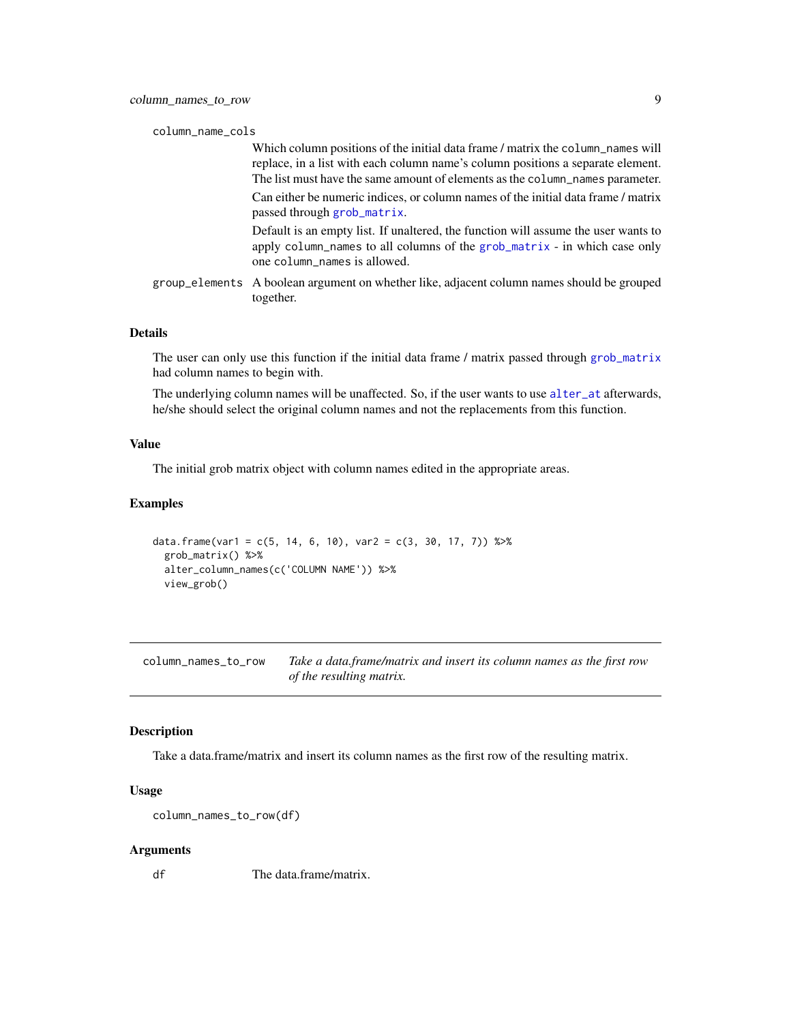<span id="page-8-0"></span>

| column_name_cols |  |
|------------------|--|
|                  |  |

|  | Which column positions of the initial data frame / matrix the column_names will<br>replace, in a list with each column name's column positions a separate element.<br>The list must have the same amount of elements as the column names parameter. |
|--|-----------------------------------------------------------------------------------------------------------------------------------------------------------------------------------------------------------------------------------------------------|
|  | Can either be numeric indices, or column names of the initial data frame / matrix<br>passed through grob_matrix.                                                                                                                                    |
|  | Default is an empty list. If unaltered, the function will assume the user wants to<br>apply column_names to all columns of the grob_matrix - in which case only<br>one column_names is allowed.                                                     |
|  | group_elements A boolean argument on whether like, adjacent column names should be grouped<br>together.                                                                                                                                             |

#### Details

The user can only use this function if the initial data frame / matrix passed through [grob\\_matrix](#page-19-1) had column names to begin with.

The underlying column names will be unaffected. So, if the user wants to use [alter\\_at](#page-5-1) afterwards, he/she should select the original column names and not the replacements from this function.

#### Value

The initial grob matrix object with column names edited in the appropriate areas.

#### Examples

```
data.frame(var1 = c(5, 14, 6, 10), var2 = c(3, 30, 17, 7)) %>%
 grob_matrix() %>%
 alter_column_names(c('COLUMN NAME')) %>%
 view_grob()
```
column\_names\_to\_row *Take a data.frame/matrix and insert its column names as the first row of the resulting matrix.*

#### Description

Take a data.frame/matrix and insert its column names as the first row of the resulting matrix.

#### Usage

column\_names\_to\_row(df)

#### Arguments

df The data.frame/matrix.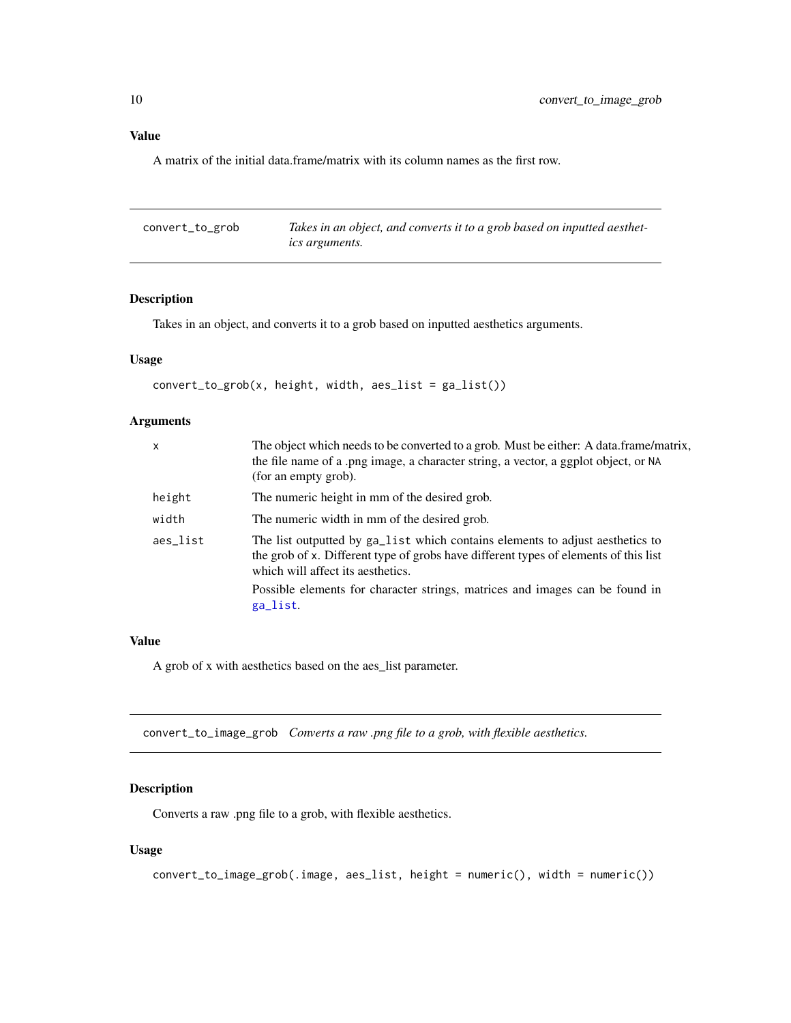### <span id="page-9-0"></span>Value

A matrix of the initial data.frame/matrix with its column names as the first row.

| convert_to_grob | Takes in an object, and converts it to a grob based on inputted aesthet- |
|-----------------|--------------------------------------------------------------------------|
|                 | <i>ics arguments.</i>                                                    |

### Description

Takes in an object, and converts it to a grob based on inputted aesthetics arguments.

### Usage

```
convert_to_grob(x, height, width, aes_list = ga_list())
```
### Arguments

| x        | The object which needs to be converted to a grob. Must be either: A data.frame/matrix,<br>the file name of a .png image, a character string, a vector, a ggplot object, or NA<br>(for an empty grob).                                                                                                  |
|----------|--------------------------------------------------------------------------------------------------------------------------------------------------------------------------------------------------------------------------------------------------------------------------------------------------------|
| height   | The numeric height in mm of the desired grob.                                                                                                                                                                                                                                                          |
| width    | The numeric width in mm of the desired grob.                                                                                                                                                                                                                                                           |
| aes_list | The list outputted by ga_list which contains elements to adjust aesthetics to<br>the grob of x. Different type of grobs have different types of elements of this list<br>which will affect its aesthetics.<br>Possible elements for character strings, matrices and images can be found in<br>ga_list. |
|          |                                                                                                                                                                                                                                                                                                        |

### Value

A grob of x with aesthetics based on the aes\_list parameter.

convert\_to\_image\_grob *Converts a raw .png file to a grob, with flexible aesthetics.*

### Description

Converts a raw .png file to a grob, with flexible aesthetics.

### Usage

```
convert_to_image_grob(.image, aes_list, height = numeric(), width = numeric())
```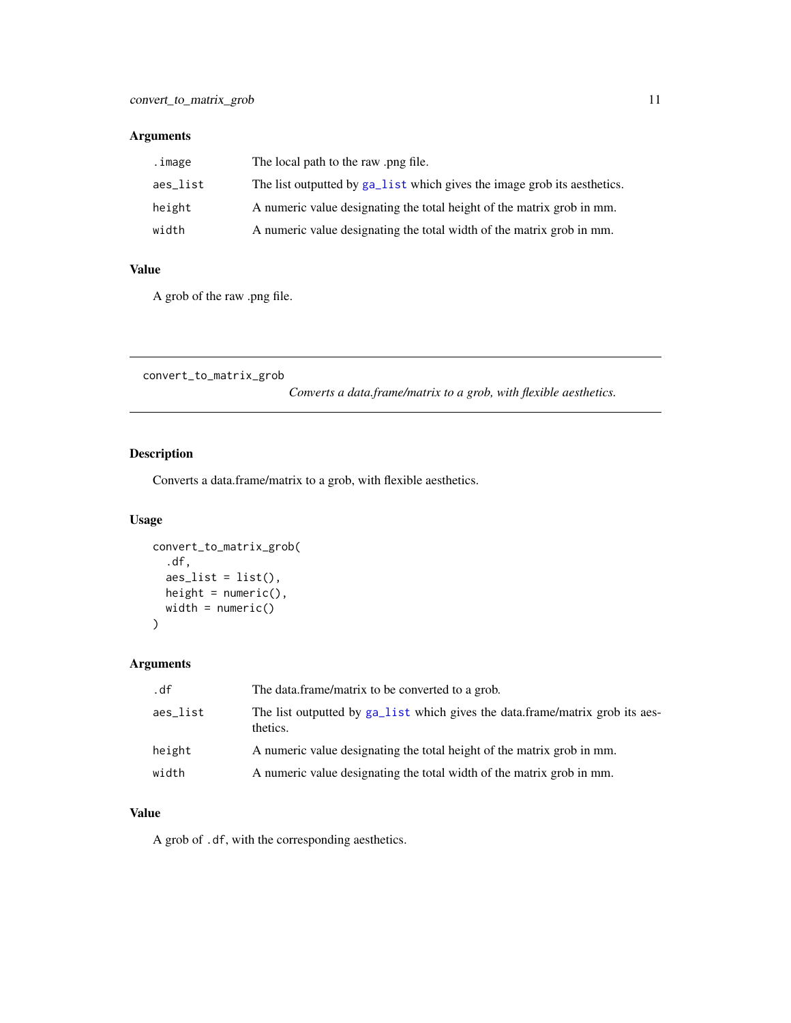### <span id="page-10-0"></span>Arguments

| .image   | The local path to the raw png file.                                      |
|----------|--------------------------------------------------------------------------|
| aes list | The list outputted by ga_list which gives the image grob its aesthetics. |
| height   | A numeric value designating the total height of the matrix grob in mm.   |
| width    | A numeric value designating the total width of the matrix grob in mm.    |

### Value

A grob of the raw .png file.

convert\_to\_matrix\_grob

*Converts a data.frame/matrix to a grob, with flexible aesthetics.*

### Description

Converts a data.frame/matrix to a grob, with flexible aesthetics.

### Usage

```
convert_to_matrix_grob(
  .df,
  aes\_list = list(),height = numeric(),
  width = numeric()
)
```
### Arguments

| .df      | The data frame/matrix to be converted to a grob.                                          |
|----------|-------------------------------------------------------------------------------------------|
| aes_list | The list outputted by ga_list which gives the data.frame/matrix grob its aes-<br>thetics. |
| height   | A numeric value designating the total height of the matrix grob in mm.                    |
| width    | A numeric value designating the total width of the matrix grob in mm.                     |

### Value

A grob of .df, with the corresponding aesthetics.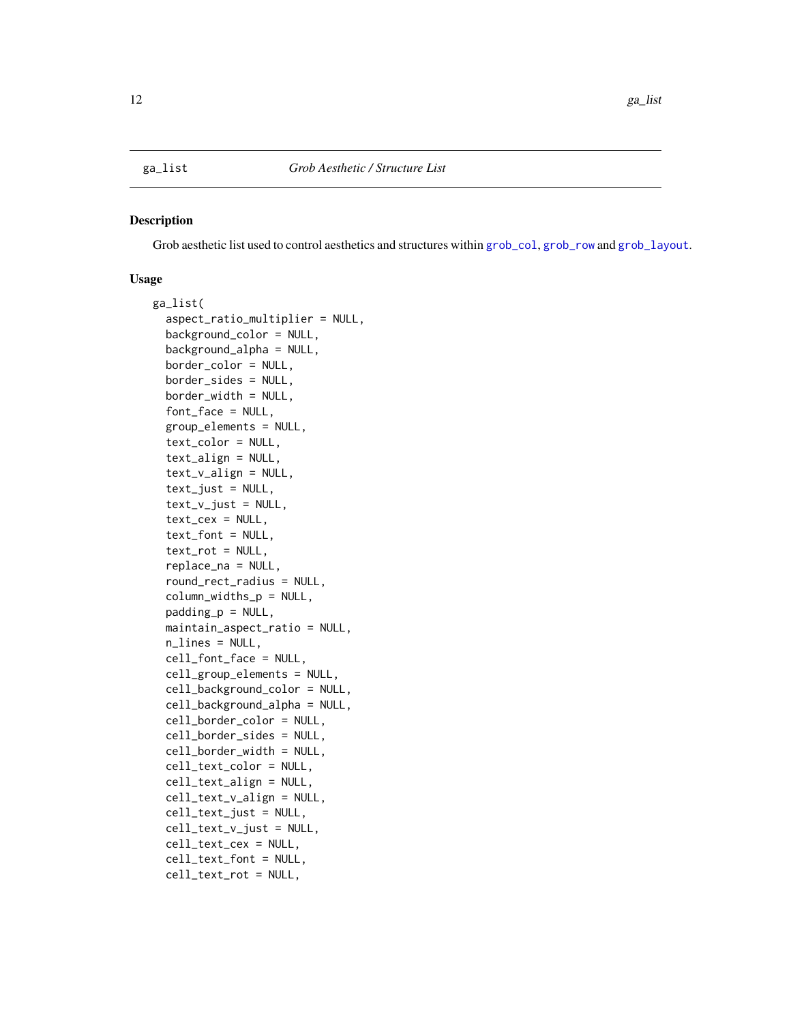#### <span id="page-11-1"></span><span id="page-11-0"></span>Description

Grob aesthetic list used to control aesthetics and structures within [grob\\_col](#page-14-1), [grob\\_row](#page-19-2) and [grob\\_layout](#page-17-1).

#### Usage

```
ga_list(
  aspect_ratio_multiplier = NULL,
  background_color = NULL,
  background_alpha = NULL,
  border_color = NULL,
  border_sides = NULL,
  border_width = NULL,
  font_face = NULL,
  group_elements = NULL,
  text_color = NULL,
  text_align = NULL,
  text_v_align = NULL,
  text\_just = NULL,text_v_just = NULL,text_cex = NULL,
  text_font = NULL,
  text_rot = NULL,
  replace_na = NULL,
  round_rect_radius = NULL,
  column_widths_p = NULL,
  padding_p = NULL,
  maintain_aspect_ratio = NULL,
  n_lines = NULL,
  cell_font_face = NULL,
  cell_group_elements = NULL,
  cell_background_color = NULL,
  cell_background_alpha = NULL,
  cell_border_color = NULL,
  cell_border_sides = NULL,
  cell_border_width = NULL,
  cell_text_color = NULL,
  cell_text_align = NULL,
  cell_text_v_align = NULL,
  cell_text_just = NULL,
  cell\_text\_v\_just = NULL,cell_text_cex = NULL,
  cell_text_font = NULL,
  cell_text_rot = NULL,
```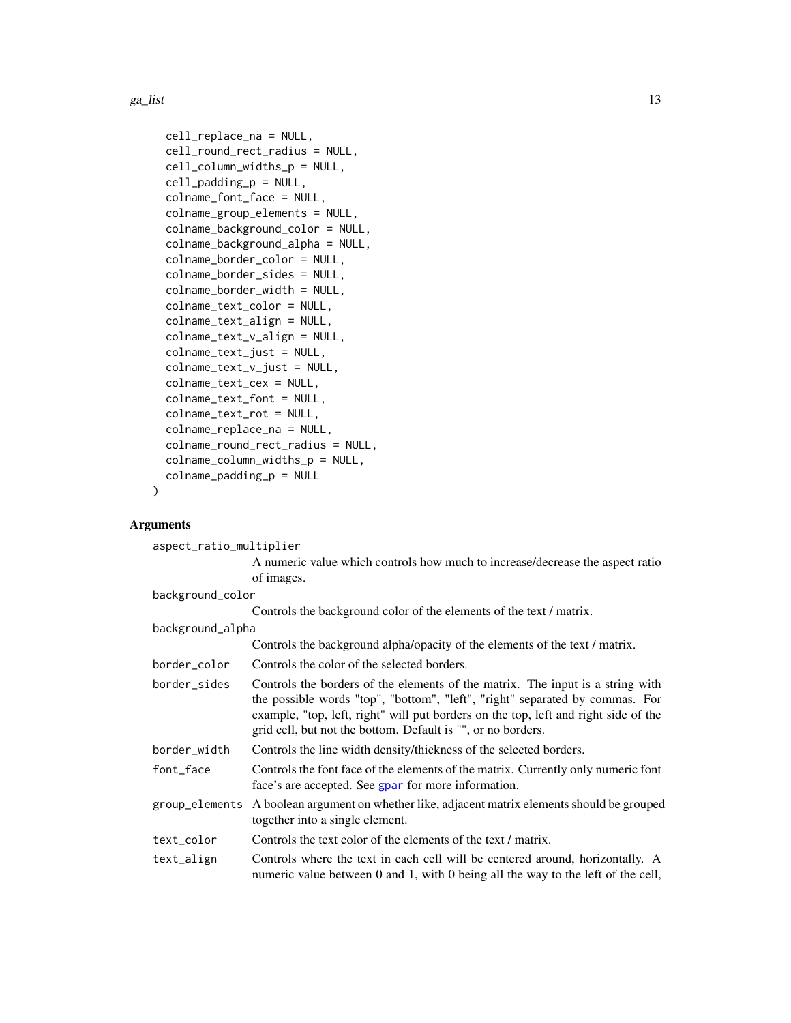<span id="page-12-0"></span> $ga\_list$  13

```
cell_replace_na = NULL,
cell_round_rect_radius = NULL,
cell_column_widths_p = NULL,
cell_padding_p = NULL,
colname_font_face = NULL,
colname_group_elements = NULL,
colname_background_color = NULL,
colname_background_alpha = NULL,
colname_border_color = NULL,
colname_border_sides = NULL,
colname_border_width = NULL,
colname_text_color = NULL,
colname_text_align = NULL,
colname_text_v_align = NULL,
colname_text_just = NULL,
colname_text_v_just = NULL,
colname_text_cex = NULL,
colname_text_font = NULL,
colname_text_rot = NULL,
colname_replace_na = NULL,
colname_round_rect_radius = NULL,
colname_column_widths_p = NULL,
colname_padding_p = NULL
```
### Arguments

)

| aspect_ratio_multiplier |                                                                                                                                                                                                                                                                                                                       |  |
|-------------------------|-----------------------------------------------------------------------------------------------------------------------------------------------------------------------------------------------------------------------------------------------------------------------------------------------------------------------|--|
|                         | A numeric value which controls how much to increase/decrease the aspect ratio                                                                                                                                                                                                                                         |  |
|                         | of images.                                                                                                                                                                                                                                                                                                            |  |
| background_color        |                                                                                                                                                                                                                                                                                                                       |  |
|                         | Controls the background color of the elements of the text / matrix.                                                                                                                                                                                                                                                   |  |
| background_alpha        |                                                                                                                                                                                                                                                                                                                       |  |
|                         | Controls the background alpha/opacity of the elements of the text / matrix.                                                                                                                                                                                                                                           |  |
| border_color            | Controls the color of the selected borders.                                                                                                                                                                                                                                                                           |  |
| border sides            | Controls the borders of the elements of the matrix. The input is a string with<br>the possible words "top", "bottom", "left", "right" separated by commas. For<br>example, "top, left, right" will put borders on the top, left and right side of the<br>grid cell, but not the bottom. Default is "", or no borders. |  |
| border_width            | Controls the line width density/thickness of the selected borders.                                                                                                                                                                                                                                                    |  |
| font_face               | Controls the font face of the elements of the matrix. Currently only numeric font<br>face's are accepted. See gpar for more information.                                                                                                                                                                              |  |
| group_elements          | A boolean argument on whether like, adjacent matrix elements should be grouped<br>together into a single element.                                                                                                                                                                                                     |  |
| text_color              | Controls the text color of the elements of the text / matrix.                                                                                                                                                                                                                                                         |  |
| text_align              | Controls where the text in each cell will be centered around, horizontally. A<br>numeric value between 0 and 1, with 0 being all the way to the left of the cell,                                                                                                                                                     |  |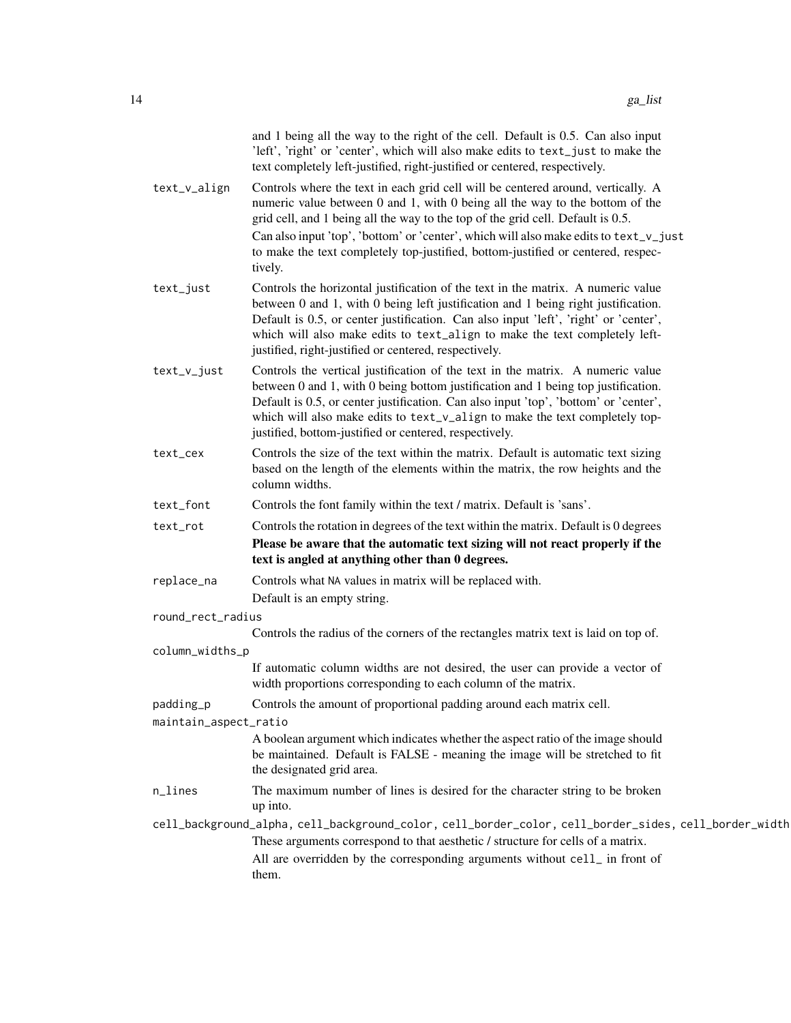|                       | and 1 being all the way to the right of the cell. Default is 0.5. Can also input<br>'left', 'right' or 'center', which will also make edits to text_just to make the<br>text completely left-justified, right-justified or centered, respectively.                                                                                                                                                   |
|-----------------------|------------------------------------------------------------------------------------------------------------------------------------------------------------------------------------------------------------------------------------------------------------------------------------------------------------------------------------------------------------------------------------------------------|
| text_v_align          | Controls where the text in each grid cell will be centered around, vertically. A<br>numeric value between 0 and 1, with 0 being all the way to the bottom of the<br>grid cell, and 1 being all the way to the top of the grid cell. Default is 0.5.                                                                                                                                                  |
|                       | Can also input 'top', 'bottom' or 'center', which will also make edits to text_v_just<br>to make the text completely top-justified, bottom-justified or centered, respec-<br>tively.                                                                                                                                                                                                                 |
| text_just             | Controls the horizontal justification of the text in the matrix. A numeric value<br>between 0 and 1, with 0 being left justification and 1 being right justification.<br>Default is 0.5, or center justification. Can also input 'left', 'right' or 'center',<br>which will also make edits to text_align to make the text completely left-<br>justified, right-justified or centered, respectively. |
| text_v_just           | Controls the vertical justification of the text in the matrix. A numeric value<br>between 0 and 1, with 0 being bottom justification and 1 being top justification.<br>Default is 0.5, or center justification. Can also input 'top', 'bottom' or 'center',<br>which will also make edits to text_v_align to make the text completely top-<br>justified, bottom-justified or centered, respectively. |
| text_cex              | Controls the size of the text within the matrix. Default is automatic text sizing<br>based on the length of the elements within the matrix, the row heights and the<br>column widths.                                                                                                                                                                                                                |
| text_font             | Controls the font family within the text / matrix. Default is 'sans'.                                                                                                                                                                                                                                                                                                                                |
| text_rot              | Controls the rotation in degrees of the text within the matrix. Default is 0 degrees                                                                                                                                                                                                                                                                                                                 |
|                       | Please be aware that the automatic text sizing will not react properly if the<br>text is angled at anything other than 0 degrees.                                                                                                                                                                                                                                                                    |
| replace_na            | Controls what NA values in matrix will be replaced with.                                                                                                                                                                                                                                                                                                                                             |
|                       | Default is an empty string.                                                                                                                                                                                                                                                                                                                                                                          |
| round_rect_radius     | Controls the radius of the corners of the rectangles matrix text is laid on top of.                                                                                                                                                                                                                                                                                                                  |
| column_widths_p       |                                                                                                                                                                                                                                                                                                                                                                                                      |
|                       | If automatic column widths are not desired, the user can provide a vector of<br>width proportions corresponding to each column of the matrix.                                                                                                                                                                                                                                                        |
| padding_p             | Controls the amount of proportional padding around each matrix cell.                                                                                                                                                                                                                                                                                                                                 |
| maintain_aspect_ratio | A boolean argument which indicates whether the aspect ratio of the image should<br>be maintained. Default is FALSE - meaning the image will be stretched to fit<br>the designated grid area.                                                                                                                                                                                                         |
| n_lines               | The maximum number of lines is desired for the character string to be broken<br>up into.                                                                                                                                                                                                                                                                                                             |
|                       | cell_background_alpha, cell_background_color, cell_border_color, cell_border_sides, cell_border_width                                                                                                                                                                                                                                                                                                |
|                       | These arguments correspond to that aesthetic / structure for cells of a matrix.                                                                                                                                                                                                                                                                                                                      |
|                       | All are overridden by the corresponding arguments without cell_ in front of<br>them.                                                                                                                                                                                                                                                                                                                 |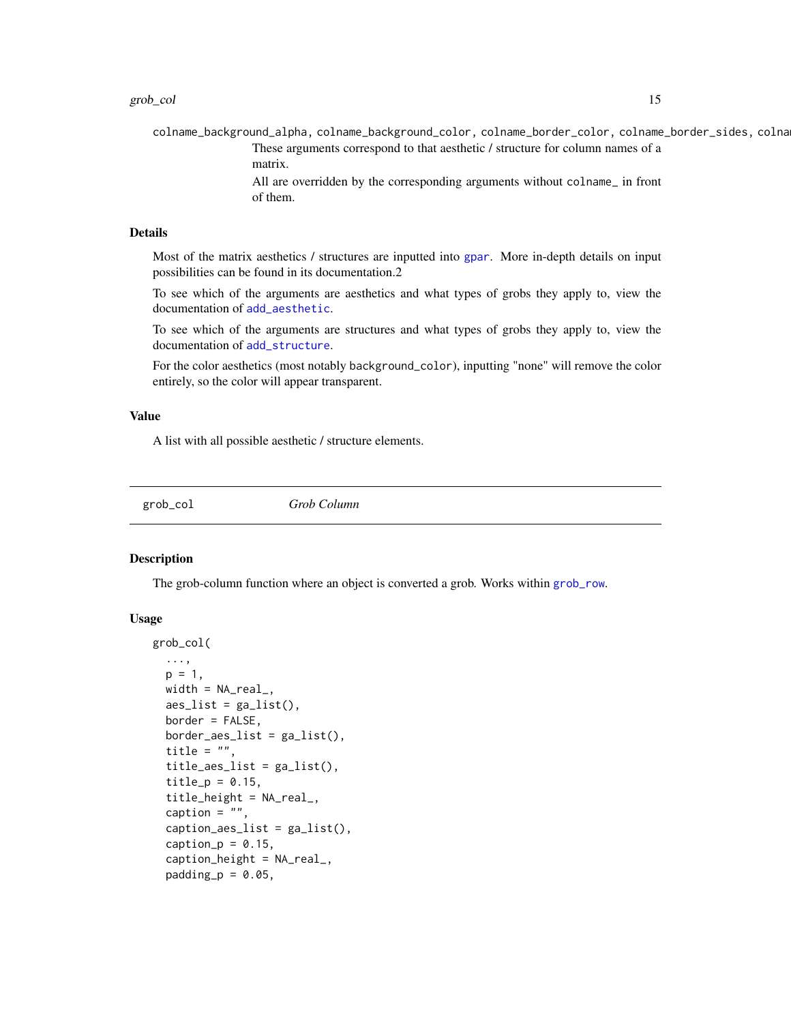<span id="page-14-0"></span>colname\_background\_alpha, colname\_background\_color, colname\_border\_color, colname\_border\_sides, colna These arguments correspond to that aesthetic / structure for column names of a matrix.

> All are overridden by the corresponding arguments without colname\_ in front of them.

#### Details

Most of the matrix aesthetics / structures are inputted into [gpar](#page-0-0). More in-depth details on input possibilities can be found in its documentation.2

To see which of the arguments are aesthetics and what types of grobs they apply to, view the documentation of [add\\_aesthetic](#page-1-1).

To see which of the arguments are structures and what types of grobs they apply to, view the documentation of [add\\_structure](#page-3-1).

For the color aesthetics (most notably background\_color), inputting "none" will remove the color entirely, so the color will appear transparent.

#### Value

A list with all possible aesthetic / structure elements.

<span id="page-14-1"></span>grob\_col *Grob Column*

#### Description

The grob-column function where an object is converted a grob. Works within [grob\\_row](#page-19-2).

#### Usage

```
grob_col(
  ...,
  p = 1,
 width = NA\_real_,
  aes_list = ga_list(),
 border = FALSE,
  border_aes_list = ga_list(),
  title = ",
  title_aes_list = ga_list(),
  title_p = 0.15,
  title_height = NA_{real}caption = ",
  caption<sub>2</sub> <math>az - a</math>caption_p = 0.15,
  caption_{height} = NA_{real_-,}padding_p = 0.05,
```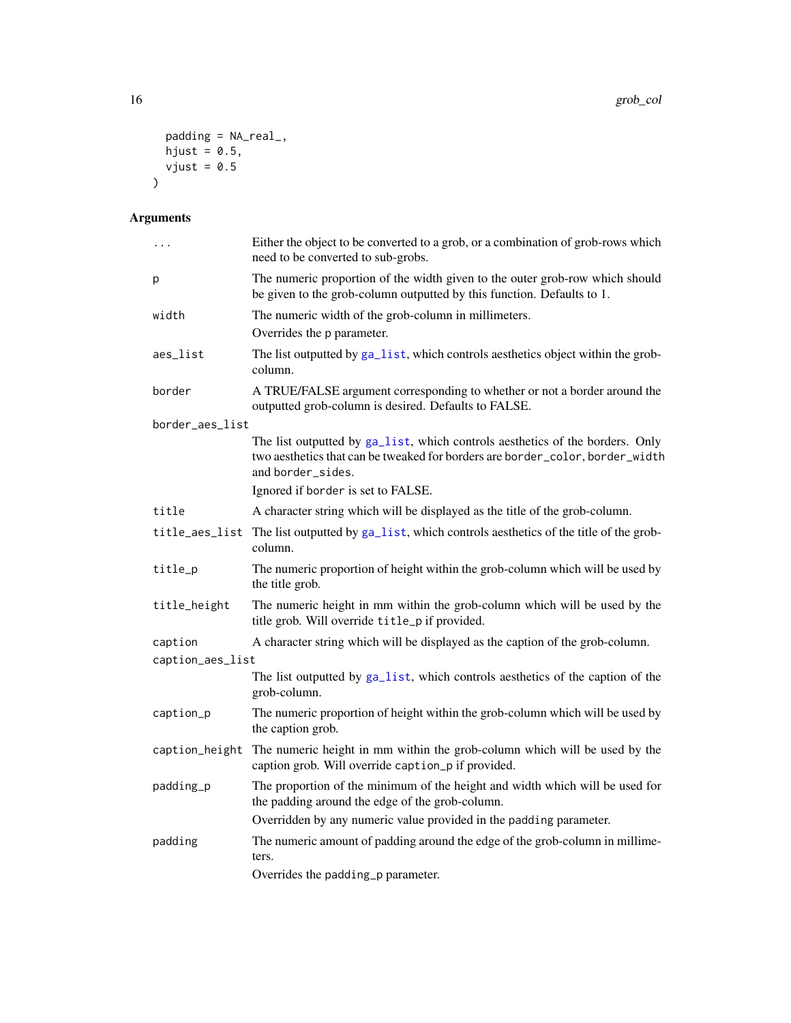```
padding = NA_real_,
  hjust = 0.5,
 vjust = 0.5)
```
## Arguments

| $\cdots$         | Either the object to be converted to a grob, or a combination of grob-rows which<br>need to be converted to sub-grobs.                                                              |
|------------------|-------------------------------------------------------------------------------------------------------------------------------------------------------------------------------------|
| р                | The numeric proportion of the width given to the outer grob-row which should<br>be given to the grob-column outputted by this function. Defaults to 1.                              |
| width            | The numeric width of the grob-column in millimeters.                                                                                                                                |
|                  | Overrides the p parameter.                                                                                                                                                          |
| aes_list         | The list outputted by ga_list, which controls aesthetics object within the grob-<br>column.                                                                                         |
| border           | A TRUE/FALSE argument corresponding to whether or not a border around the<br>outputted grob-column is desired. Defaults to FALSE.                                                   |
| border_aes_list  |                                                                                                                                                                                     |
|                  | The list outputted by ga_list, which controls aesthetics of the borders. Only<br>two aesthetics that can be tweaked for borders are border_color, border_width<br>and border_sides. |
|                  | Ignored if border is set to FALSE.                                                                                                                                                  |
| title            | A character string which will be displayed as the title of the grob-column.                                                                                                         |
|                  | title_aes_list The list outputted by ga_list, which controls aesthetics of the title of the grob-<br>column.                                                                        |
| title_p          | The numeric proportion of height within the grob-column which will be used by<br>the title grob.                                                                                    |
| title_height     | The numeric height in mm within the grob-column which will be used by the<br>title grob. Will override title_p if provided.                                                         |
| caption          | A character string which will be displayed as the caption of the grob-column.                                                                                                       |
| caption_aes_list |                                                                                                                                                                                     |
|                  | The list outputted by ga_list, which controls aesthetics of the caption of the<br>grob-column.                                                                                      |
| caption_p        | The numeric proportion of height within the grob-column which will be used by<br>the caption grob.                                                                                  |
| caption_height   | The numeric height in mm within the grob-column which will be used by the<br>caption grob. Will override caption_p if provided.                                                     |
| padding_p        | The proportion of the minimum of the height and width which will be used for<br>the padding around the edge of the grob-column.                                                     |
|                  | Overridden by any numeric value provided in the padding parameter.                                                                                                                  |
| padding          | The numeric amount of padding around the edge of the grob-column in millime-<br>ters.                                                                                               |
|                  | Overrides the padding_p parameter.                                                                                                                                                  |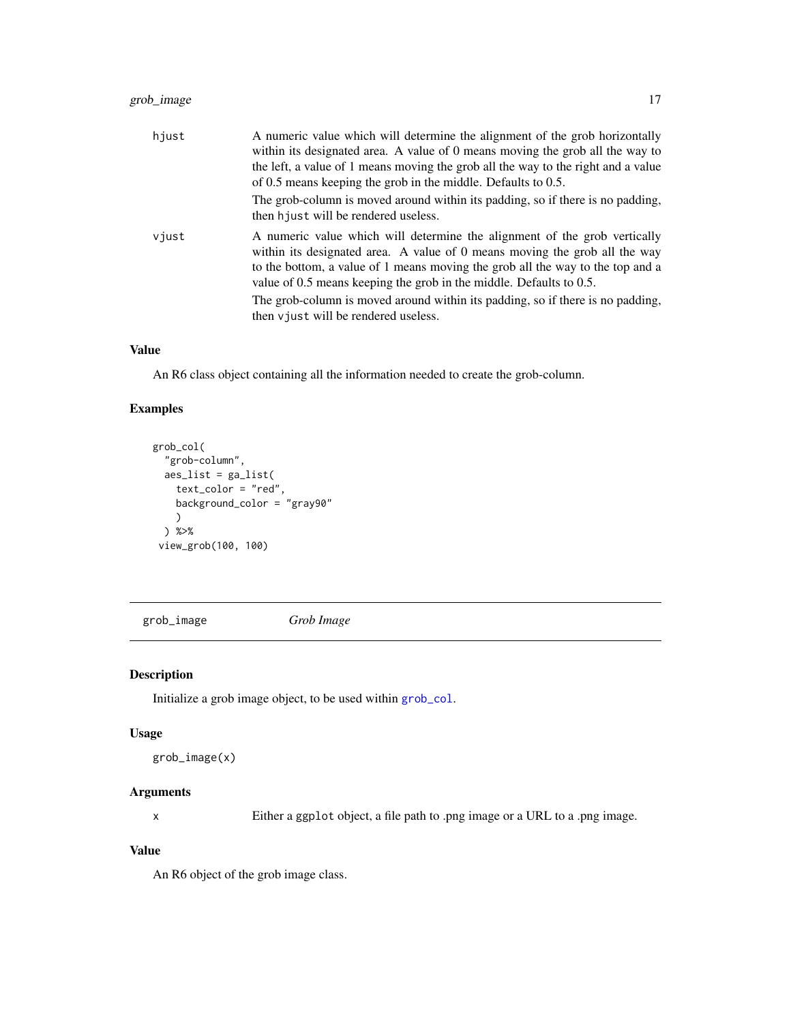### <span id="page-16-0"></span>grob\_image 17

| hjust | A numeric value which will determine the alignment of the grob horizontally<br>within its designated area. A value of 0 means moving the grob all the way to<br>the left, a value of 1 means moving the grob all the way to the right and a value<br>of 0.5 means keeping the grob in the middle. Defaults to 0.5.                                                                                                                          |
|-------|---------------------------------------------------------------------------------------------------------------------------------------------------------------------------------------------------------------------------------------------------------------------------------------------------------------------------------------------------------------------------------------------------------------------------------------------|
|       | The grob-column is moved around within its padding, so if there is no padding,<br>then hjust will be rendered useless.                                                                                                                                                                                                                                                                                                                      |
| vjust | A numeric value which will determine the alignment of the grob vertically<br>within its designated area. A value of 0 means moving the grob all the way<br>to the bottom, a value of 1 means moving the grob all the way to the top and a<br>value of 0.5 means keeping the grob in the middle. Defaults to 0.5.<br>The grob-column is moved around within its padding, so if there is no padding,<br>then v just will be rendered useless. |

### Value

An R6 class object containing all the information needed to create the grob-column.

### Examples

```
grob_col(
  "grob-column",
  aes_list = ga_list(
   text_color = "red",
   background_color = "gray90"
    )
  ) %>%
 view_grob(100, 100)
```
<span id="page-16-1"></span>grob\_image *Grob Image*

### Description

Initialize a grob image object, to be used within [grob\\_col](#page-14-1).

#### Usage

```
grob_image(x)
```
### Arguments

x Either a ggplot object, a file path to .png image or a URL to a .png image.

#### Value

An R6 object of the grob image class.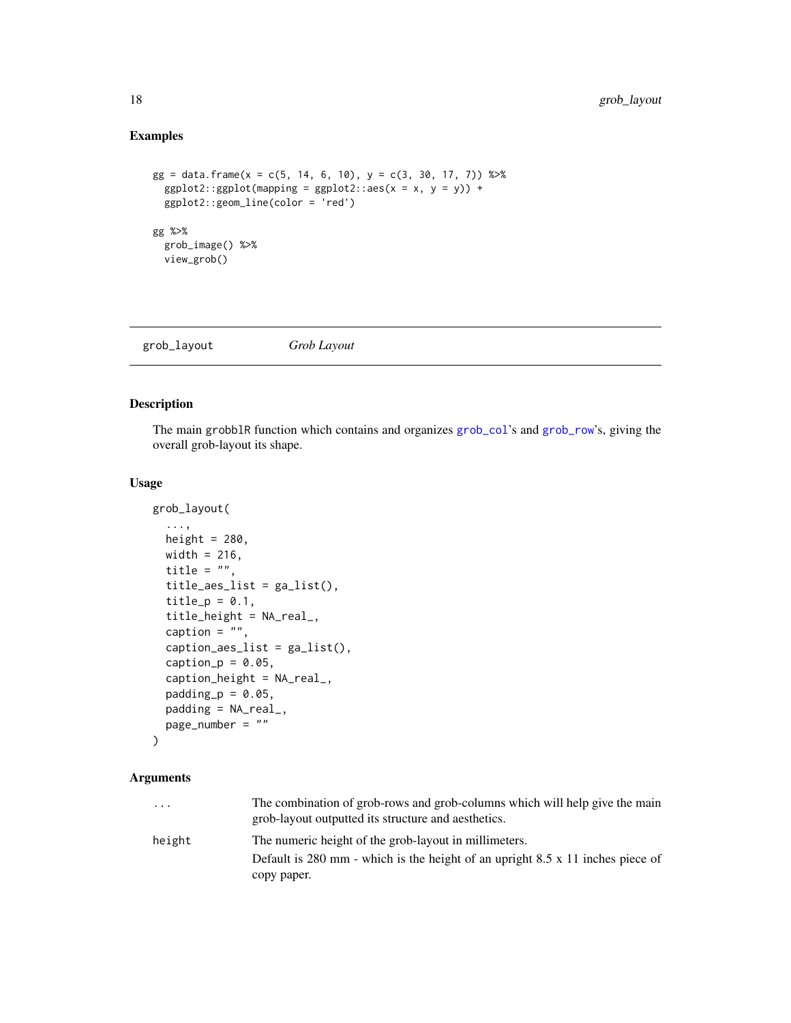### Examples

```
gg = data. frame(x = c(5, 14, 6, 10), y = c(3, 30, 17, 7)) %>%
  ggplot2::ggplot(mapping = ggplot2::aes(x = x, y = y)) +ggplot2::geom_line(color = 'red')
gg %>%
  grob_image() %>%
  view_grob()
```
<span id="page-17-1"></span>grob\_layout *Grob Layout*

### Description

The main grobblR function which contains and organizes [grob\\_col](#page-14-1)'s and [grob\\_row](#page-19-2)'s, giving the overall grob-layout its shape.

#### Usage

```
grob_layout(
  ...,
  height = 280,
  width = 216,
  title = ",
  title_aes_list = ga_list(),
  title_p = 0.1,
  title_height = NA_real_,
  caption = ",
  caption<sub>2</sub> a region of the equation <math>\frac{1}{2}</math> is the equation of the equation.caption_p = 0.05,
  caption_height = NA_real_,
  padding_p = 0.05,
  padding = NA_real_,
  page_number = ""
)
```
#### Arguments

| .      | The combination of grob-rows and grob-columns which will help give the main<br>grob-layout outputted its structure and aesthetics. |
|--------|------------------------------------------------------------------------------------------------------------------------------------|
| height | The numeric height of the grob-layout in millimeters.                                                                              |
|        | Default is 280 mm - which is the height of an upright 8.5 $x$ 11 inches piece of                                                   |
|        | copy paper.                                                                                                                        |

<span id="page-17-0"></span>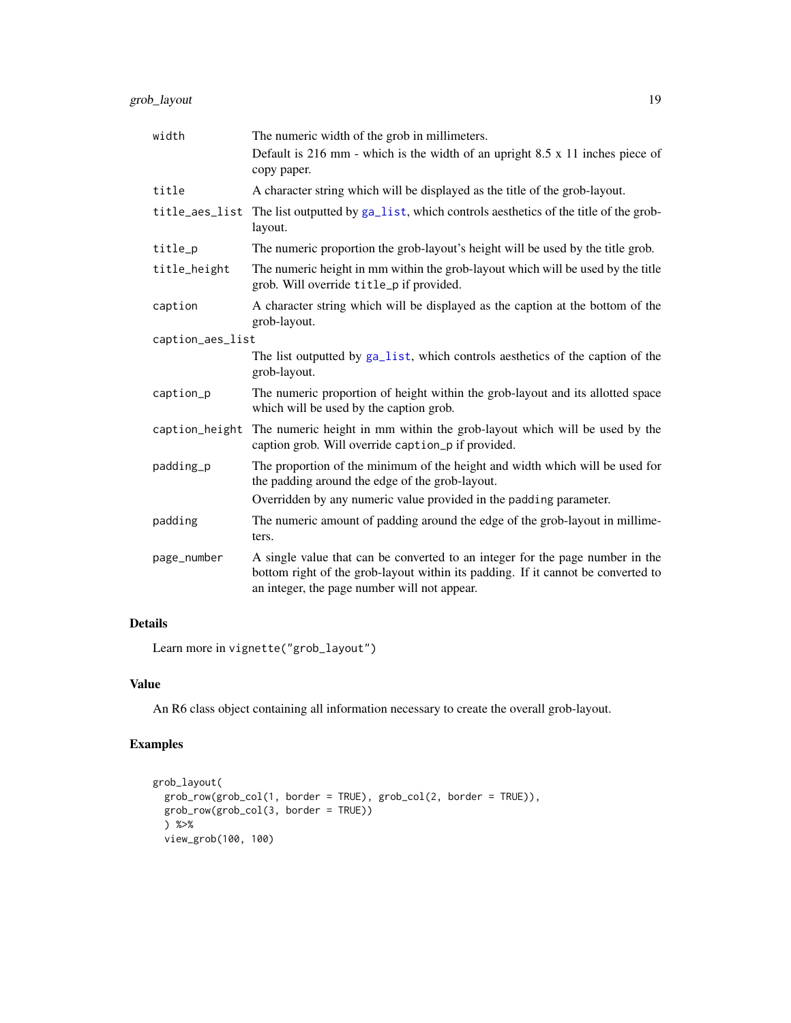<span id="page-18-0"></span>

| width            | The numeric width of the grob in millimeters.                                                                                                                                                                     |  |
|------------------|-------------------------------------------------------------------------------------------------------------------------------------------------------------------------------------------------------------------|--|
|                  | Default is 216 mm - which is the width of an upright $8.5 \times 11$ inches piece of<br>copy paper.                                                                                                               |  |
| title            | A character string which will be displayed as the title of the grob-layout.                                                                                                                                       |  |
| title_aes_list   | The list outputted by ga_list, which controls aesthetics of the title of the grob-<br>layout.                                                                                                                     |  |
| title_p          | The numeric proportion the grob-layout's height will be used by the title grob.                                                                                                                                   |  |
| title_height     | The numeric height in mm within the grob-layout which will be used by the title<br>grob. Will override title_p if provided.                                                                                       |  |
| caption          | A character string which will be displayed as the caption at the bottom of the<br>grob-layout.                                                                                                                    |  |
| caption_aes_list |                                                                                                                                                                                                                   |  |
|                  | The list outputted by ga_list, which controls aesthetics of the caption of the<br>grob-layout.                                                                                                                    |  |
| caption_p        | The numeric proportion of height within the grob-layout and its allotted space<br>which will be used by the caption grob.                                                                                         |  |
| caption_height   | The numeric height in mm within the grob-layout which will be used by the<br>caption grob. Will override caption_p if provided.                                                                                   |  |
| padding_p        | The proportion of the minimum of the height and width which will be used for<br>the padding around the edge of the grob-layout.                                                                                   |  |
|                  | Overridden by any numeric value provided in the padding parameter.                                                                                                                                                |  |
| padding          | The numeric amount of padding around the edge of the grob-layout in millime-<br>ters.                                                                                                                             |  |
| page_number      | A single value that can be converted to an integer for the page number in the<br>bottom right of the grob-layout within its padding. If it cannot be converted to<br>an integer, the page number will not appear. |  |

### Details

Learn more in vignette("grob\_layout")

### Value

An R6 class object containing all information necessary to create the overall grob-layout.

### Examples

```
grob_layout(
  grob_row(grob_col(1, border = TRUE), grob_col(2, border = TRUE)),
  grob_row(grob_col(3, border = TRUE))
  ) %>%
  view_grob(100, 100)
```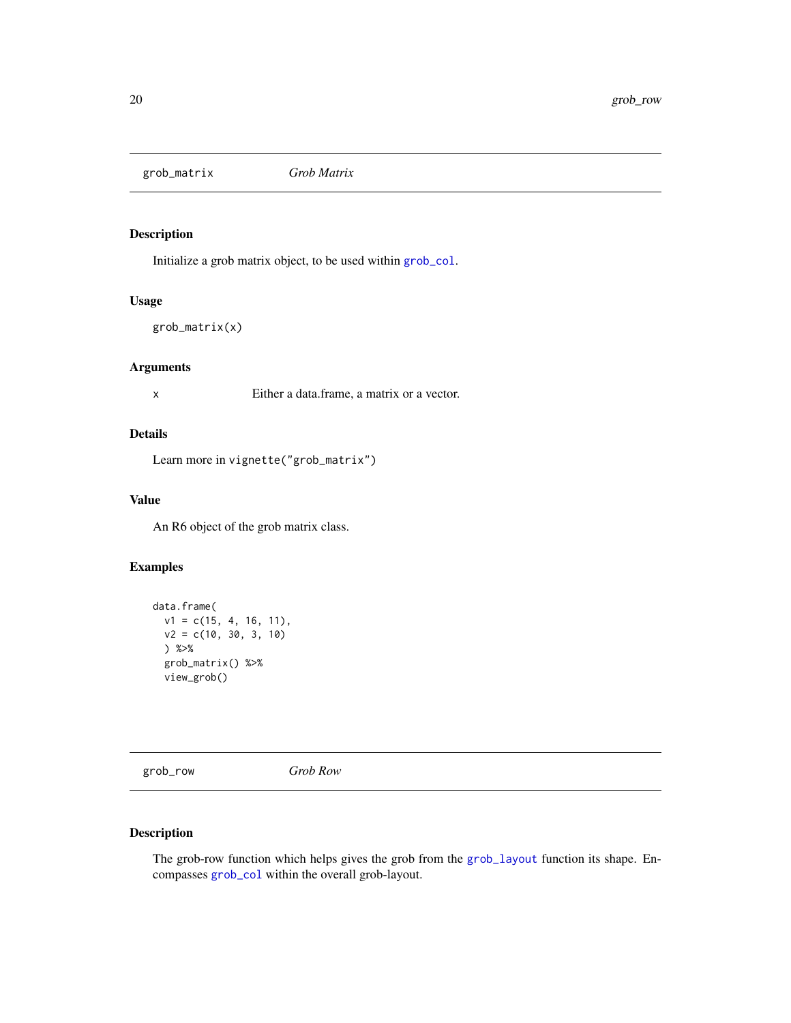<span id="page-19-1"></span><span id="page-19-0"></span>grob\_matrix *Grob Matrix*

### Description

Initialize a grob matrix object, to be used within [grob\\_col](#page-14-1).

#### Usage

```
grob_matrix(x)
```
#### Arguments

x Either a data.frame, a matrix or a vector.

### Details

Learn more in vignette("grob\_matrix")

### Value

An R6 object of the grob matrix class.

### Examples

```
data.frame(
 v1 = c(15, 4, 16, 11),v2 = c(10, 30, 3, 10)) %>%
 grob_matrix() %>%
 view_grob()
```
<span id="page-19-2"></span>grob\_row *Grob Row*

### Description

The grob-row function which helps gives the grob from the [grob\\_layout](#page-17-1) function its shape. Encompasses [grob\\_col](#page-14-1) within the overall grob-layout.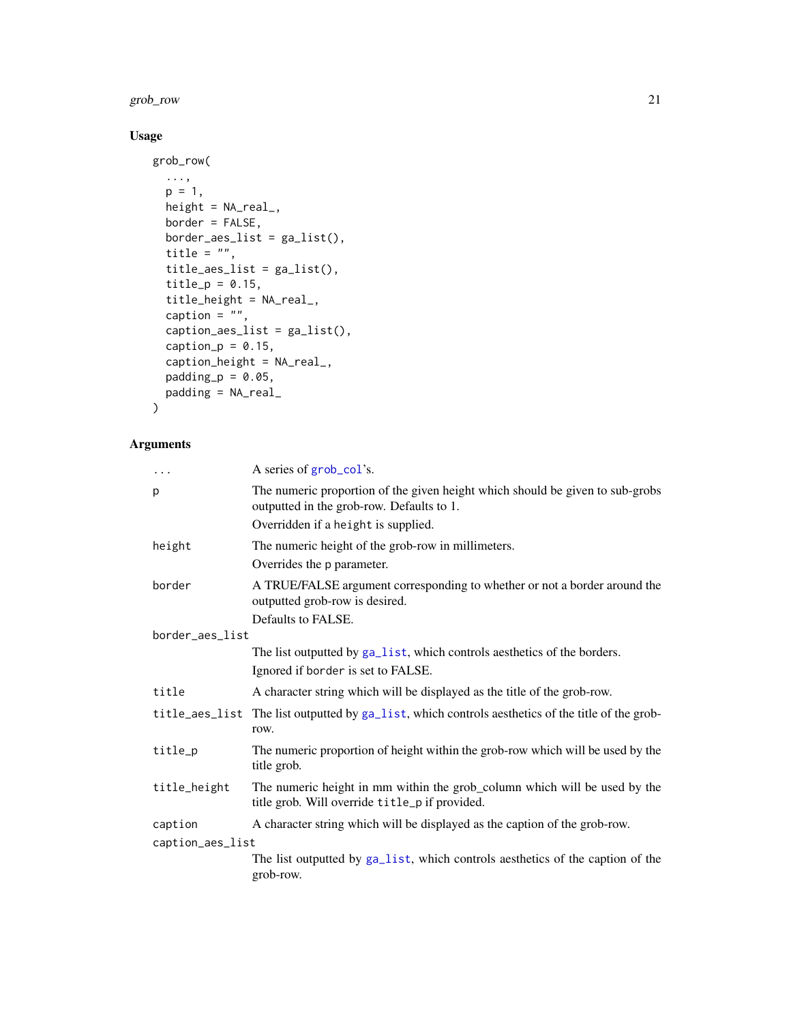#### <span id="page-20-0"></span>grob\_row 21

### Usage

```
grob_row(
  ...,
  p = 1,
  height = NA_real_,
  border = FALSE,
  border_aes_list = ga_list(),
  title = ",
  title_aes_list = ga_list(),
  title_p = 0.15,
  title_height = NA_real_,
  caption = ",
  caption_aes_list = ga_list(),
  caption_p = 0.15,
  caption_height = NA_real_,
  padding_p = 0.05,
  padding = NA_real_
\mathcal{L}
```
### Arguments

| $\cdots$         | A series of grob_col's.                                                                                                     |  |
|------------------|-----------------------------------------------------------------------------------------------------------------------------|--|
| p                | The numeric proportion of the given height which should be given to sub-grobs<br>outputted in the grob-row. Defaults to 1.  |  |
|                  | Overridden if a height is supplied.                                                                                         |  |
| height           | The numeric height of the grob-row in millimeters.                                                                          |  |
|                  | Overrides the p parameter.                                                                                                  |  |
| border           | A TRUE/FALSE argument corresponding to whether or not a border around the<br>outputted grob-row is desired.                 |  |
|                  | Defaults to FALSE.                                                                                                          |  |
| border_aes_list  |                                                                                                                             |  |
|                  | The list outputted by ga_list, which controls aesthetics of the borders.                                                    |  |
|                  | Ignored if border is set to FALSE.                                                                                          |  |
| title            | A character string which will be displayed as the title of the grob-row.                                                    |  |
| title_aes_list   | The list outputted by ga_list, which controls aesthetics of the title of the grob-<br>row.                                  |  |
| title_p          | The numeric proportion of height within the grob-row which will be used by the<br>title grob.                               |  |
| title_height     | The numeric height in mm within the grob_column which will be used by the<br>title grob. Will override title_p if provided. |  |
| caption          | A character string which will be displayed as the caption of the grob-row.                                                  |  |
| caption_aes_list |                                                                                                                             |  |
|                  | The list outputted by ga_list, which controls aesthetics of the caption of the<br>grob-row.                                 |  |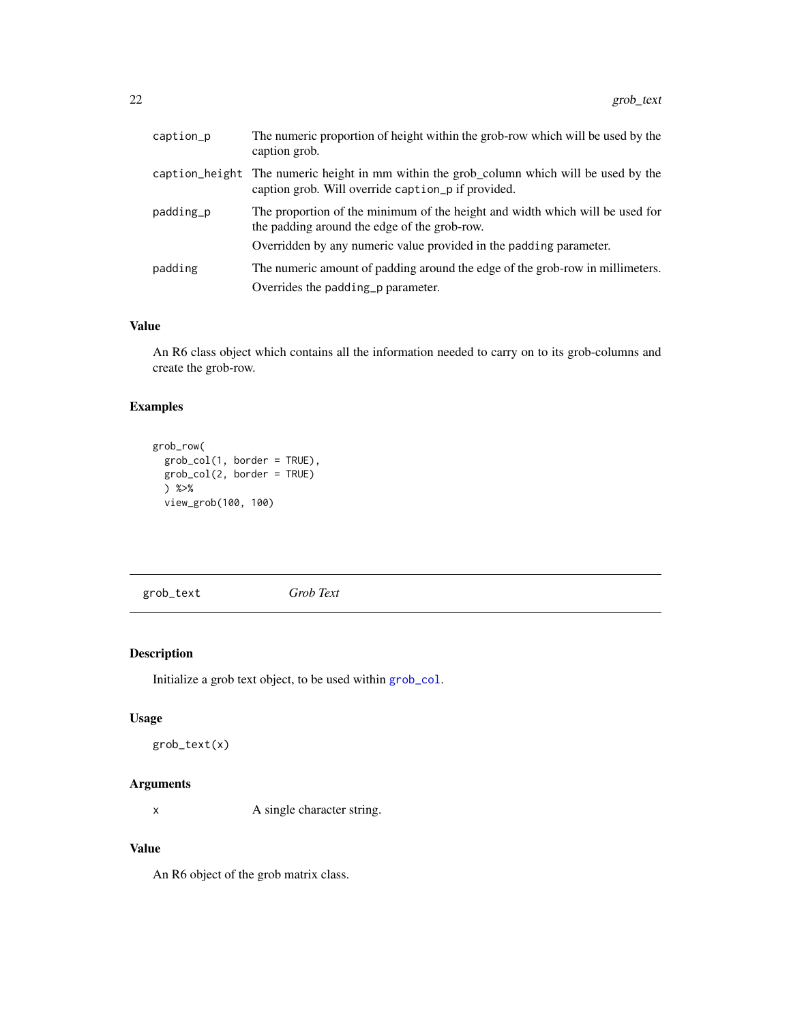<span id="page-21-0"></span>

| The numeric proportion of height within the grob-row which will be used by the<br>caption grob.                                                |
|------------------------------------------------------------------------------------------------------------------------------------------------|
| caption_height The numeric height in mm within the grob_column which will be used by the<br>caption grob. Will override caption p if provided. |
| The proportion of the minimum of the height and width which will be used for<br>the padding around the edge of the grob-row.                   |
| Overridden by any numeric value provided in the padding parameter.                                                                             |
| The numeric amount of padding around the edge of the grob-row in millimeters.<br>Overrides the padding p parameter.                            |
|                                                                                                                                                |

#### Value

An R6 class object which contains all the information needed to carry on to its grob-columns and create the grob-row.

### Examples

```
grob_row(
 grob_col(1, border = TRUE),
 grob_col(2, border = TRUE)
 ) %>%
 view_grob(100, 100)
```
<span id="page-21-1"></span>grob\_text *Grob Text*

### Description

Initialize a grob text object, to be used within [grob\\_col](#page-14-1).

### Usage

```
grob_text(x)
```
#### Arguments

x A single character string.

#### Value

An R6 object of the grob matrix class.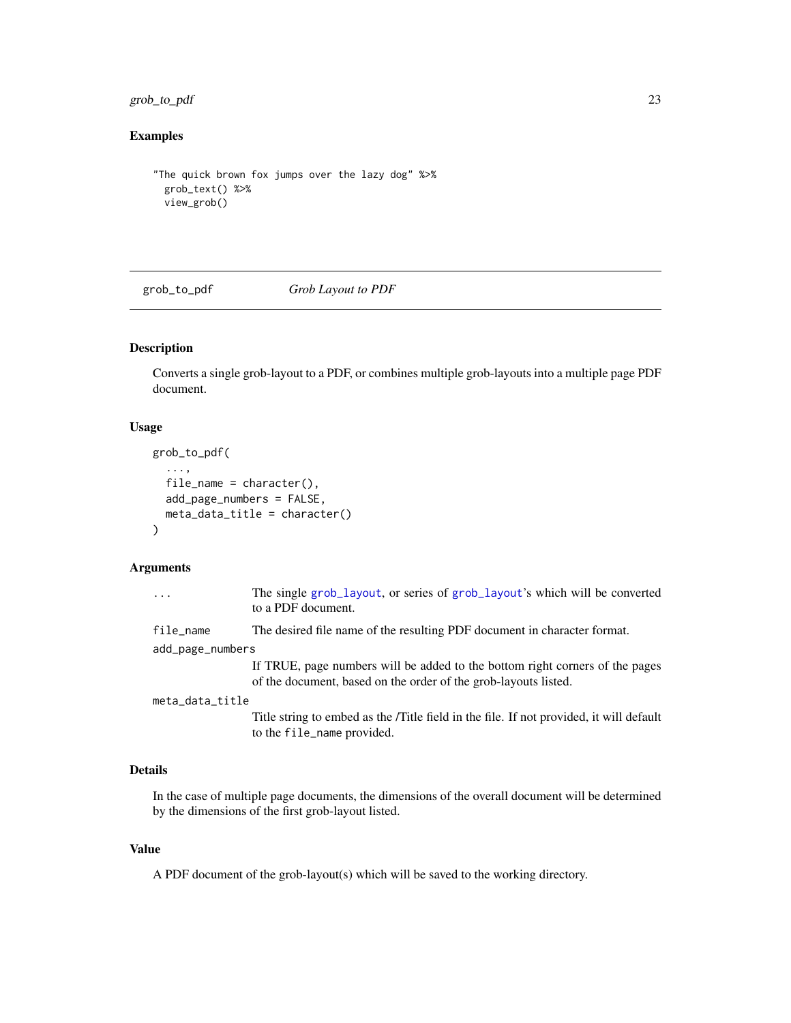<span id="page-22-0"></span>grob\_to\_pdf 23

### Examples

```
"The quick brown fox jumps over the lazy dog" %>%
 grob_text() %>%
 view_grob()
```
grob\_to\_pdf *Grob Layout to PDF*

#### Description

Converts a single grob-layout to a PDF, or combines multiple grob-layouts into a multiple page PDF document.

### Usage

```
grob_to_pdf(
  ...,
  file_name = character(),
  add_page_numbers = FALSE,
  meta_data_title = character()
\mathcal{L}
```
### Arguments

| .                | The single grob_layout, or series of grob_layout's which will be converted<br>to a PDF document.                                                |  |
|------------------|-------------------------------------------------------------------------------------------------------------------------------------------------|--|
| file_name        | The desired file name of the resulting PDF document in character format.                                                                        |  |
| add_page_numbers |                                                                                                                                                 |  |
|                  | If TRUE, page numbers will be added to the bottom right corners of the pages<br>of the document, based on the order of the grob-layouts listed. |  |
| meta_data_title  |                                                                                                                                                 |  |
|                  | Title string to embed as the /Title field in the file. If not provided, it will default<br>to the file_name provided.                           |  |

### Details

In the case of multiple page documents, the dimensions of the overall document will be determined by the dimensions of the first grob-layout listed.

#### Value

A PDF document of the grob-layout(s) which will be saved to the working directory.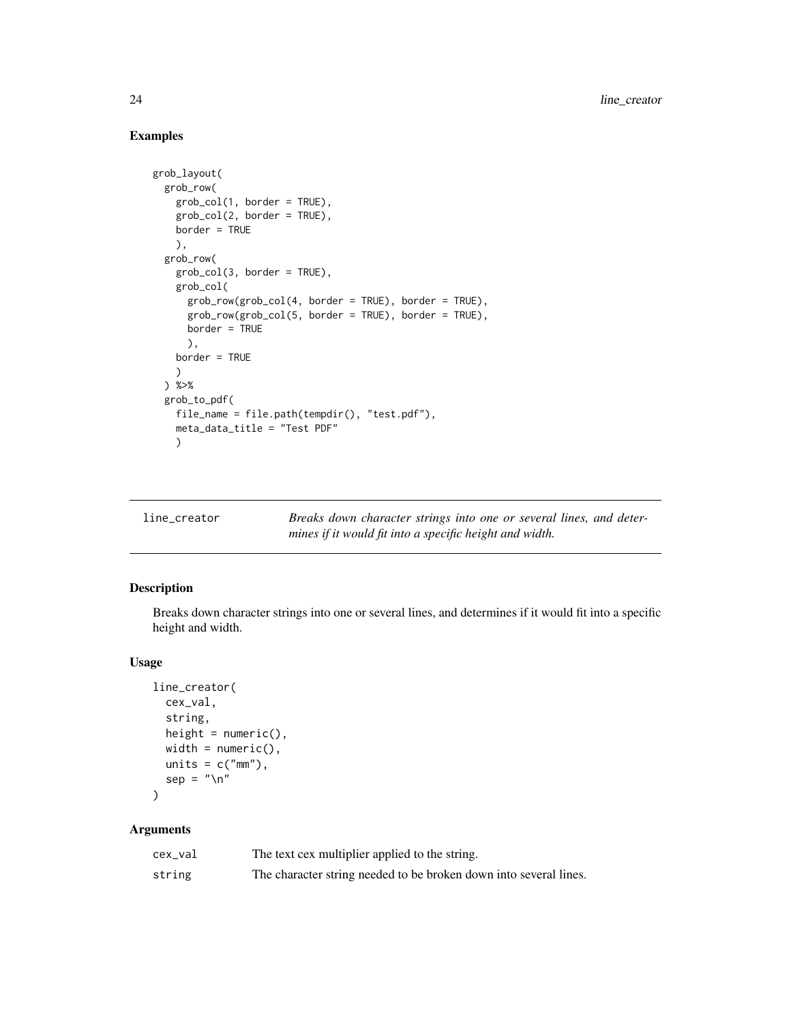### Examples

```
grob_layout(
 grob_row(
   grob_col(1, border = TRUE),
   grob_col(2, border = TRUE),
   border = TRUE
   ),
 grob_row(
   grob_col(3, border = TRUE),
   grob_col(
      grob_row(grob_col(4, border = TRUE), border = TRUE),
      grob_row(grob_col(5, border = TRUE), border = TRUE),
     border = TRUE
      ),
   border = TRUE
   \lambda) %>%
 grob_to_pdf(
   file_name = file.path(tempdir(), "test.pdf"),
   meta_data_title = "Test PDF"
   )
```

| line_creator | Breaks down character strings into one or several lines, and deter- |
|--------------|---------------------------------------------------------------------|
|              | mines if it would fit into a specific height and width.             |

### Description

Breaks down character strings into one or several lines, and determines if it would fit into a specific height and width.

### Usage

```
line_creator(
  cex_val,
  string,
  height = numeric(),
  width = numeric(),
  units = c("mm"),
  sep = "\\ n"\mathcal{L}
```
### Arguments

| cex_val | The text cex multiplier applied to the string.                    |
|---------|-------------------------------------------------------------------|
| string  | The character string needed to be broken down into several lines. |

<span id="page-23-0"></span>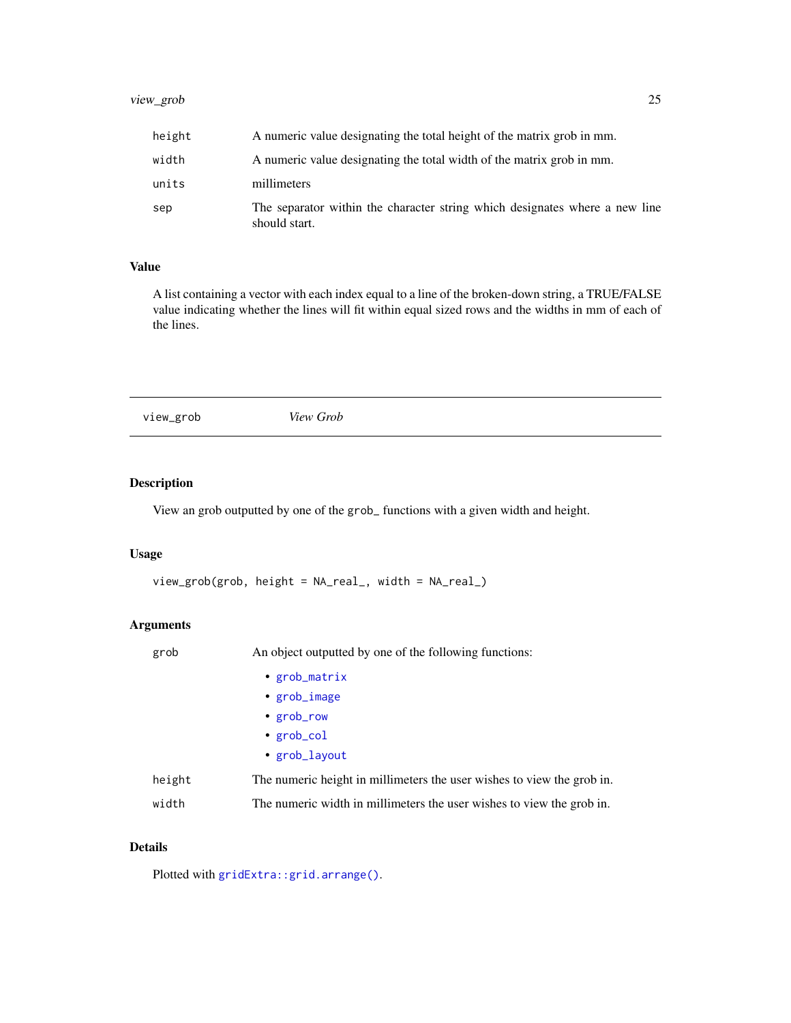### <span id="page-24-0"></span>view\_grob 25

| height | A numeric value designating the total height of the matrix grob in mm.                       |
|--------|----------------------------------------------------------------------------------------------|
| width  | A numeric value designating the total width of the matrix grob in mm.                        |
| units  | millimeters                                                                                  |
| sep    | The separator within the character string which designates where a new line<br>should start. |

### Value

A list containing a vector with each index equal to a line of the broken-down string, a TRUE/FALSE value indicating whether the lines will fit within equal sized rows and the widths in mm of each of the lines.

view\_grob *View Grob*

### Description

View an grob outputted by one of the grob\_ functions with a given width and height.

### Usage

```
view_grob(grob, height = NA_real_, width = NA_real_)
```
### Arguments

| grob   | An object outputted by one of the following functions:                 |
|--------|------------------------------------------------------------------------|
|        | • $grob_matrix$                                                        |
|        | • grob_image                                                           |
|        | • grob_row                                                             |
|        | • $grob_{col}$                                                         |
|        | • $grob_l$                                                             |
| height | The numeric height in millimeters the user wishes to view the grob in. |
| width  | The numeric width in millimeters the user wishes to view the grob in.  |

### Details

Plotted with [gridExtra::grid.arrange\(\)](#page-0-0).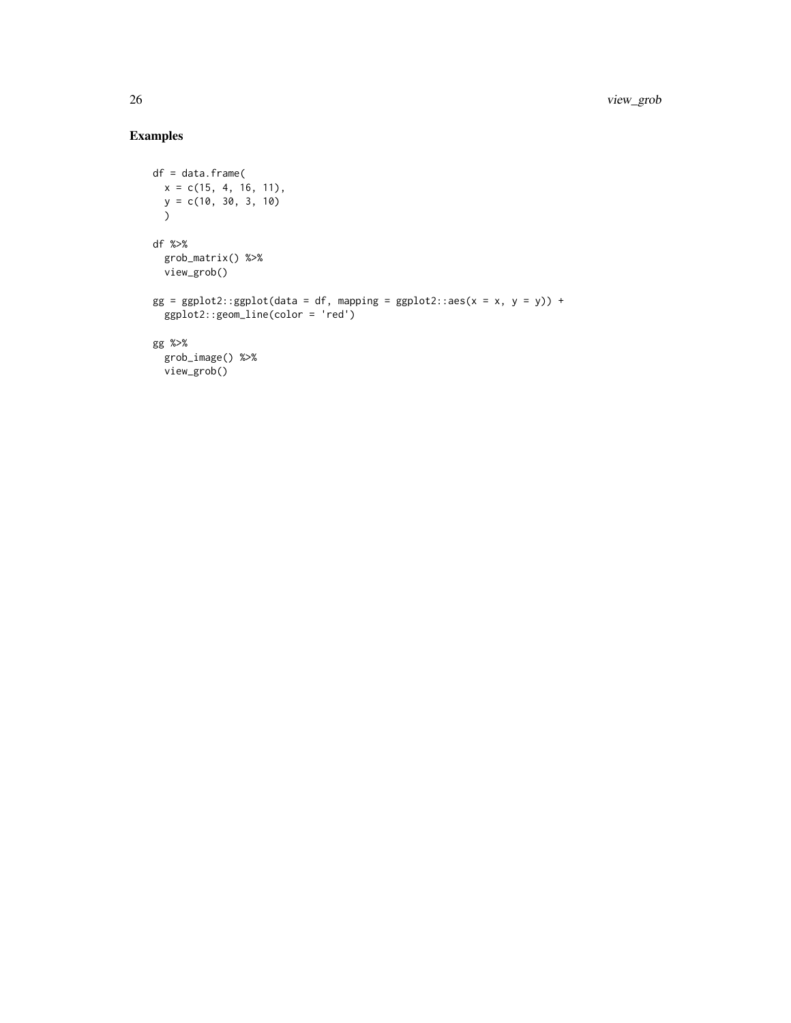### Examples

```
df = data.frame(
 x = c(15, 4, 16, 11),y = c(10, 30, 3, 10)
  \lambdadf %>%
  grob_matrix() %>%
 view_grob()
gg = ggplot2::ggplot(data = df, mapping = ggplot2::aes(x = x, y = y)) +ggplot2::geom_line(color = 'red')
gg %>%
  grob_image() %>%
  view_grob()
```